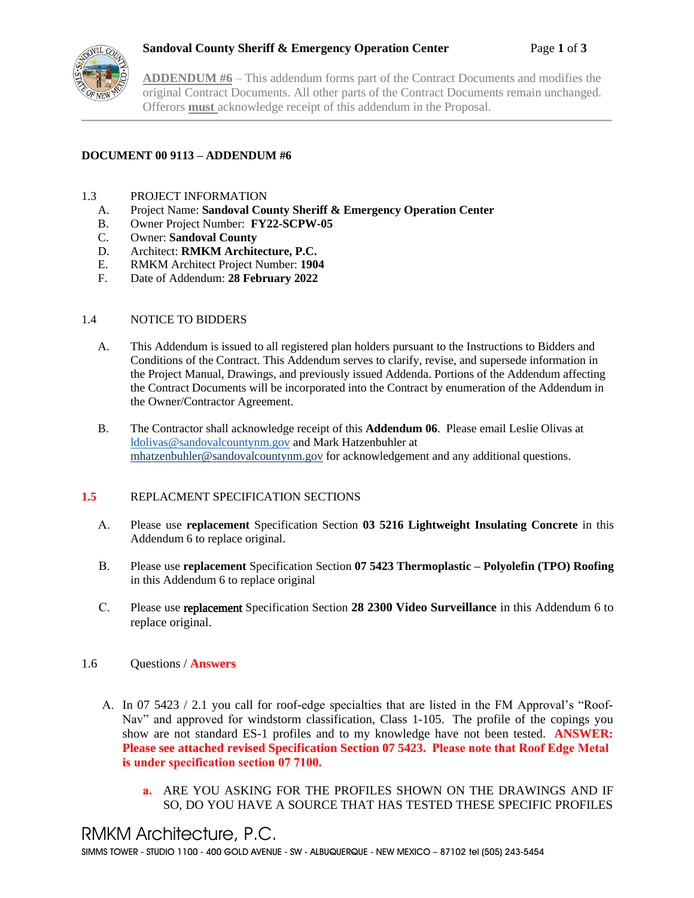

**ADDENDUM #6** – This addendum forms part of the Contract Documents and modifies the original Contract Documents. All other parts of the Contract Documents remain unchanged. Offerors **must** acknowledge receipt of this addendum in the Proposal.

# **DOCUMENT 00 9113 – ADDENDUM #6**

# 1.3 PROJECT INFORMATION

- A. Project Name: **Sandoval County Sheriff & Emergency Operation Center**
- B. Owner Project Number: **FY22-SCPW-05**
- C. Owner: **Sandoval County**
- D. Architect: **RMKM Architecture, P.C.**
- E. RMKM Architect Project Number: **1904**
- F. Date of Addendum: **28 February 2022**

# 1.4 NOTICE TO BIDDERS

- A. This Addendum is issued to all registered plan holders pursuant to the Instructions to Bidders and Conditions of the Contract. This Addendum serves to clarify, revise, and supersede information in the Project Manual, Drawings, and previously issued Addenda. Portions of the Addendum affecting the Contract Documents will be incorporated into the Contract by enumeration of the Addendum in the Owner/Contractor Agreement.
- B. The Contractor shall acknowledge receipt of this **Addendum 06**. Please email Leslie Olivas at [ldolivas@sandovalcountynm.gov](mailto:ldolivas@sandovalcountynm.gov) and Mark Hatzenbuhler at [mhatzenbuhler@sandovalcountynm.gov](mailto:mhatzenbuhler@sandovalcountynm.gov) for acknowledgement and any additional questions.

# **1.5** REPLACMENT SPECIFICATION SECTIONS

- A. Please use **replacement** Specification Section **03 5216 Lightweight Insulating Concrete** in this Addendum 6 to replace original.
- B. Please use **replacement** Specification Section **07 5423 Thermoplastic – Polyolefin (TPO) Roofing** in this Addendum 6 to replace original
- C. Please use replacement Specification Section **28 2300 Video Surveillance** in this Addendum 6 to replace original.

# 1.6 Questions / **Answers**

- A. In 07 5423 / 2.1 you call for roof-edge specialties that are listed in the FM Approval's "Roof-Nav" and approved for windstorm classification, Class 1-105. The profile of the copings you show are not standard ES-1 profiles and to my knowledge have not been tested. **ANSWER: Please see attached revised Specification Section 07 5423. Please note that Roof Edge Metal is under specification section 07 7100.**
	- **a.** ARE YOU ASKING FOR THE PROFILES SHOWN ON THE DRAWINGS AND IF SO, DO YOU HAVE A SOURCE THAT HAS TESTED THESE SPECIFIC PROFILES

# RMKM Architecture, P.C.

SIMMS TOWER - STUDIO 1100 - 400 GOLD AVENUE - SW - ALBUQUERQUE - NEW MEXICO – 87102 tel (505) 243-5454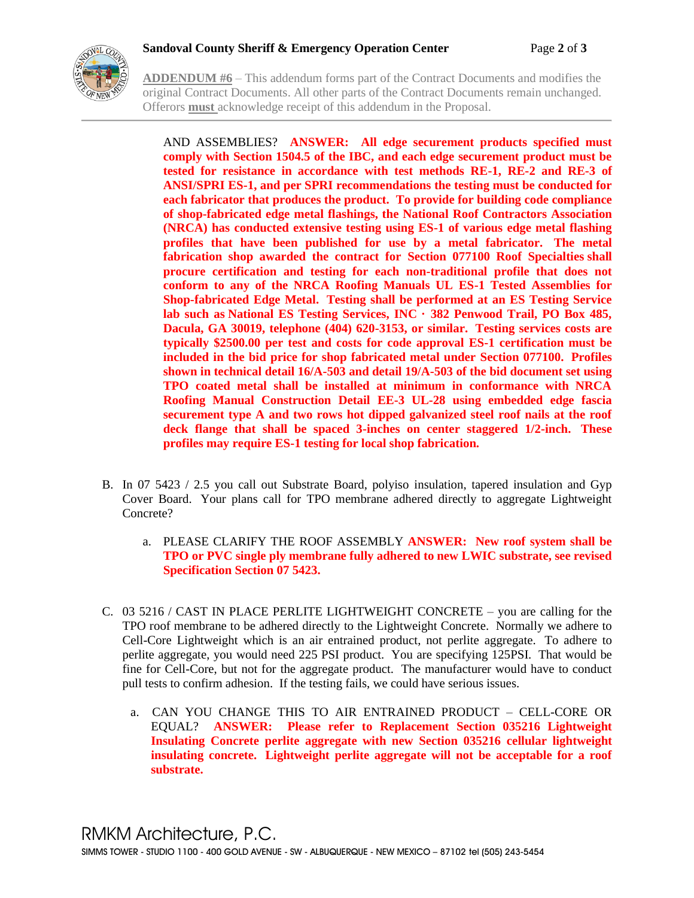

**ADDENDUM #6** – This addendum forms part of the Contract Documents and modifies the original Contract Documents. All other parts of the Contract Documents remain unchanged. Offerors **must** acknowledge receipt of this addendum in the Proposal.

AND ASSEMBLIES? **ANSWER: All edge securement products specified must comply with Section 1504.5 of the IBC, and each edge securement product must be tested for resistance in accordance with test methods RE-1, RE-2 and RE-3 of ANSI/SPRI ES-1, and per SPRI recommendations the testing must be conducted for each fabricator that produces the product. To provide for building code compliance of shop-fabricated edge metal flashings, the National Roof Contractors Association (NRCA) has conducted extensive testing using ES-1 of various edge metal flashing profiles that have been published for use by a metal fabricator. The metal fabrication shop awarded the contract for Section 077100 Roof Specialties shall procure certification and testing for each non-traditional profile that does not conform to any of the NRCA Roofing Manuals UL ES-1 Tested Assemblies for Shop-fabricated Edge Metal. Testing shall be performed at an ES Testing Service lab such as National ES Testing Services, INC · 382 Penwood Trail, PO Box 485, Dacula, GA 30019, telephone (404) 620-3153, or similar. Testing services costs are typically \$2500.00 per test and costs for code approval ES-1 certification must be included in the bid price for shop fabricated metal under Section 077100. Profiles shown in technical detail 16/A-503 and detail 19/A-503 of the bid document set using TPO coated metal shall be installed at minimum in conformance with NRCA Roofing Manual Construction Detail EE-3 UL-28 using embedded edge fascia securement type A and two rows hot dipped galvanized steel roof nails at the roof deck flange that shall be spaced 3-inches on center staggered 1/2-inch. These profiles may require ES-1 testing for local shop fabrication.**

- B. In 07 5423 / 2.5 you call out Substrate Board, polyiso insulation, tapered insulation and Gyp Cover Board. Your plans call for TPO membrane adhered directly to aggregate Lightweight Concrete?
	- a. PLEASE CLARIFY THE ROOF ASSEMBLY **ANSWER: New roof system shall be TPO or PVC single ply membrane fully adhered to new LWIC substrate, see revised Specification Section 07 5423.**
- C. 03 5216 / CAST IN PLACE PERLITE LIGHTWEIGHT CONCRETE you are calling for the TPO roof membrane to be adhered directly to the Lightweight Concrete. Normally we adhere to Cell-Core Lightweight which is an air entrained product, not perlite aggregate. To adhere to perlite aggregate, you would need 225 PSI product. You are specifying 125PSI. That would be fine for Cell-Core, but not for the aggregate product. The manufacturer would have to conduct pull tests to confirm adhesion. If the testing fails, we could have serious issues.
	- a. CAN YOU CHANGE THIS TO AIR ENTRAINED PRODUCT CELL-CORE OR EQUAL? **ANSWER: Please refer to Replacement Section 035216 Lightweight Insulating Concrete perlite aggregate with new Section 035216 cellular lightweight insulating concrete. Lightweight perlite aggregate will not be acceptable for a roof substrate.**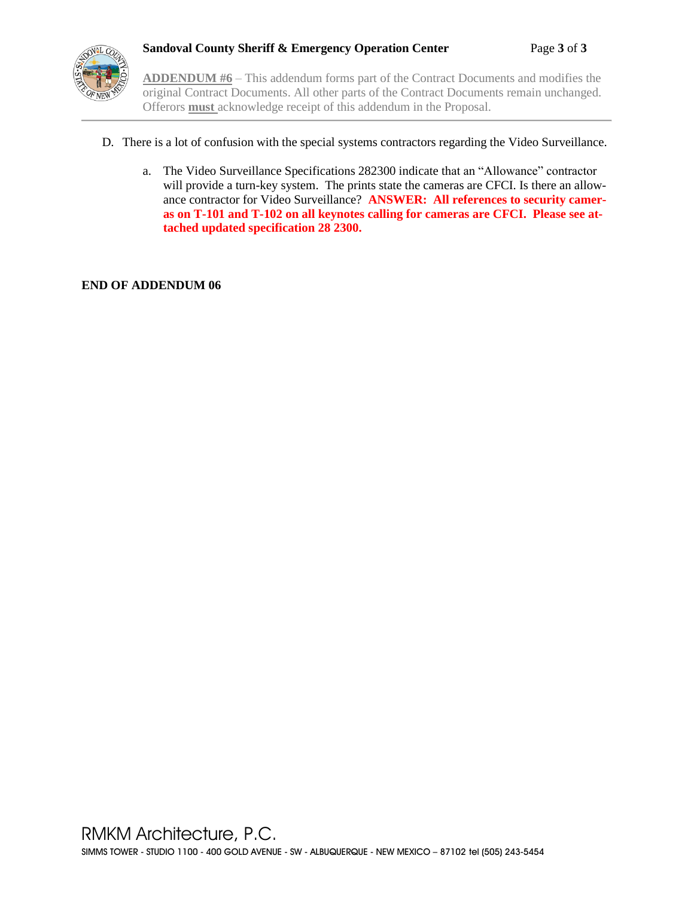

**ADDENDUM #6** – This addendum forms part of the Contract Documents and modifies the original Contract Documents. All other parts of the Contract Documents remain unchanged. Offerors **must** acknowledge receipt of this addendum in the Proposal.

- D. There is a lot of confusion with the special systems contractors regarding the Video Surveillance.
	- a. The Video Surveillance Specifications 282300 indicate that an "Allowance" contractor will provide a turn-key system. The prints state the cameras are CFCI. Is there an allowance contractor for Video Surveillance? **ANSWER: All references to security cameras on T-101 and T-102 on all keynotes calling for cameras are CFCI. Please see attached updated specification 28 2300.**

**END OF ADDENDUM 06**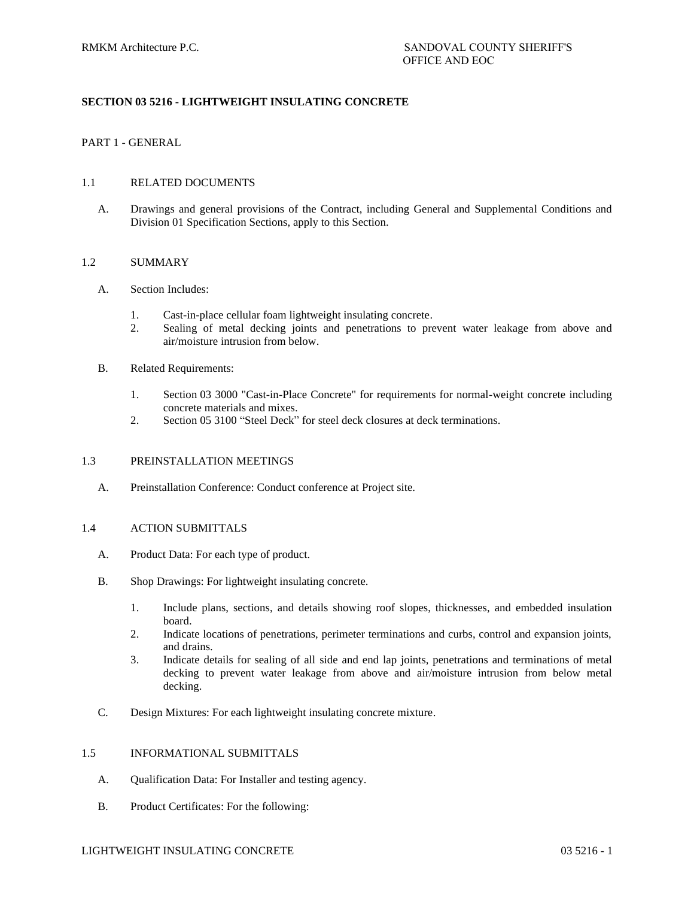# **SECTION 03 5216 - LIGHTWEIGHT INSULATING CONCRETE**

### PART 1 - GENERAL

#### 1.1 RELATED DOCUMENTS

A. Drawings and general provisions of the Contract, including General and Supplemental Conditions and Division 01 Specification Sections, apply to this Section.

#### 1.2 SUMMARY

#### A. Section Includes:

- 1. Cast-in-place cellular foam lightweight insulating concrete.
- 2. Sealing of metal decking joints and penetrations to prevent water leakage from above and air/moisture intrusion from below.
- B. Related Requirements:
	- 1. Section 03 3000 "Cast-in-Place Concrete" for requirements for normal-weight concrete including concrete materials and mixes.
	- 2. Section 05 3100 "Steel Deck" for steel deck closures at deck terminations.

#### 1.3 PREINSTALLATION MEETINGS

A. Preinstallation Conference: Conduct conference at Project site.

#### 1.4 ACTION SUBMITTALS

- A. Product Data: For each type of product.
- B. Shop Drawings: For lightweight insulating concrete.
	- 1. Include plans, sections, and details showing roof slopes, thicknesses, and embedded insulation board.
	- 2. Indicate locations of penetrations, perimeter terminations and curbs, control and expansion joints, and drains.
	- 3. Indicate details for sealing of all side and end lap joints, penetrations and terminations of metal decking to prevent water leakage from above and air/moisture intrusion from below metal decking.
- C. Design Mixtures: For each lightweight insulating concrete mixture.

#### 1.5 INFORMATIONAL SUBMITTALS

- A. Qualification Data: For Installer and testing agency.
- B. Product Certificates: For the following:

#### LIGHTWEIGHT INSULATING CONCRETE 03 5216 - 1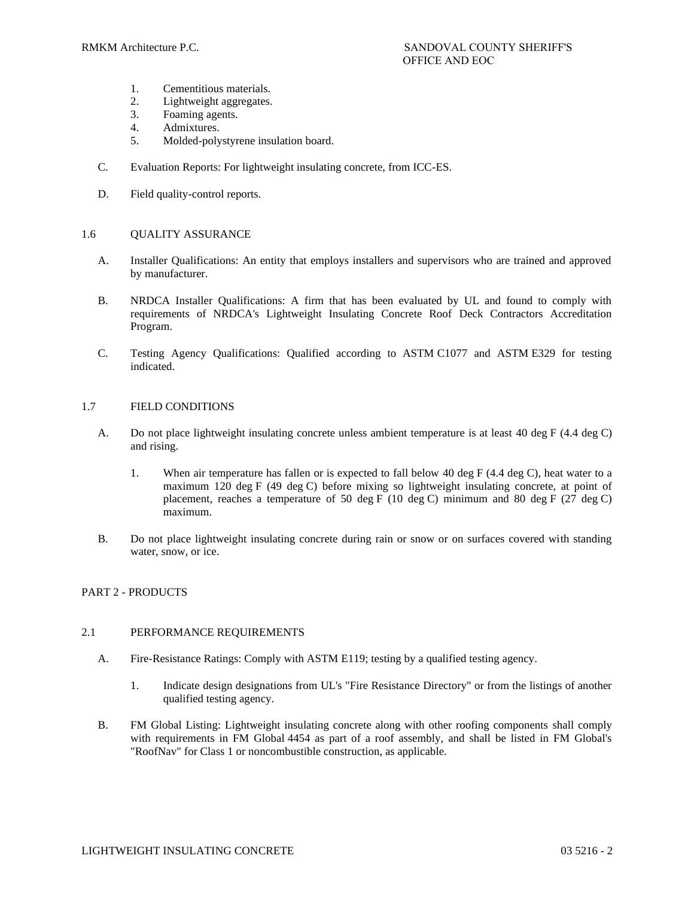- 1. Cementitious materials.
- 2. Lightweight aggregates.
- 3. Foaming agents.
- 4. Admixtures.
- 5. Molded-polystyrene insulation board.
- C. Evaluation Reports: For lightweight insulating concrete, from ICC-ES.
- D. Field quality-control reports.

# 1.6 OUALITY ASSURANCE

- A. Installer Qualifications: An entity that employs installers and supervisors who are trained and approved by manufacturer.
- B. NRDCA Installer Qualifications: A firm that has been evaluated by UL and found to comply with requirements of NRDCA's Lightweight Insulating Concrete Roof Deck Contractors Accreditation Program.
- C. Testing Agency Qualifications: Qualified according to ASTM C1077 and ASTM E329 for testing indicated.

# 1.7 FIELD CONDITIONS

- A. Do not place lightweight insulating concrete unless ambient temperature is at least 40 deg F (4.4 deg C) and rising.
	- 1. When air temperature has fallen or is expected to fall below 40 deg F (4.4 deg C), heat water to a maximum 120 deg F (49 deg C) before mixing so lightweight insulating concrete, at point of placement, reaches a temperature of 50 deg F (10 deg C) minimum and 80 deg F (27 deg C) maximum.
- B. Do not place lightweight insulating concrete during rain or snow or on surfaces covered with standing water, snow, or ice.

# PART 2 - PRODUCTS

# 2.1 PERFORMANCE REQUIREMENTS

- A. Fire-Resistance Ratings: Comply with ASTM E119; testing by a qualified testing agency.
	- 1. Indicate design designations from UL's "Fire Resistance Directory" or from the listings of another qualified testing agency.
- B. FM Global Listing: Lightweight insulating concrete along with other roofing components shall comply with requirements in FM Global 4454 as part of a roof assembly, and shall be listed in FM Global's "RoofNav" for Class 1 or noncombustible construction, as applicable.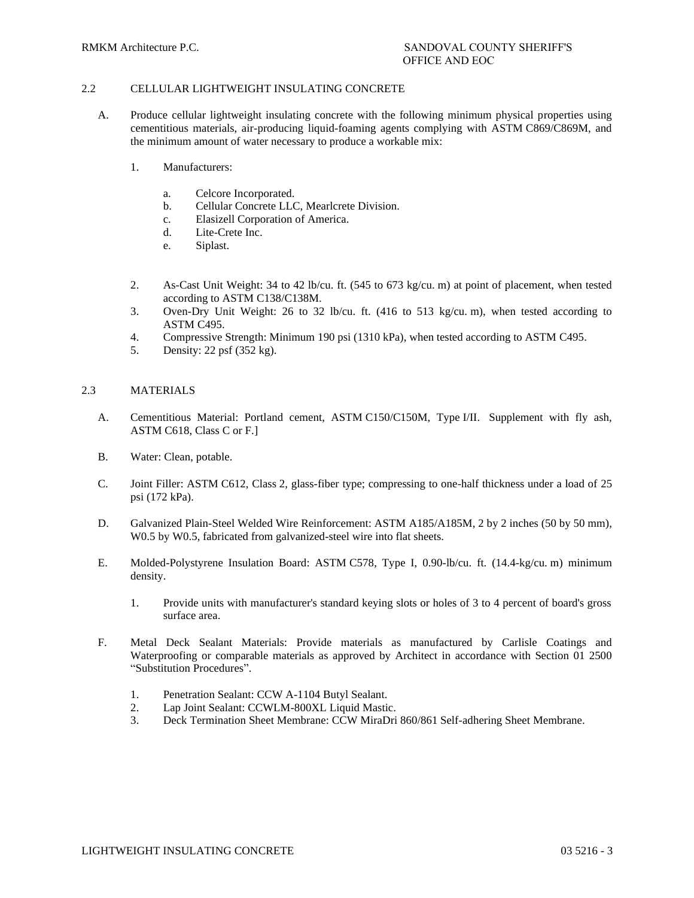# 2.2 CELLULAR LIGHTWEIGHT INSULATING CONCRETE

- A. Produce cellular lightweight insulating concrete with the following minimum physical properties using cementitious materials, air-producing liquid-foaming agents complying with ASTM C869/C869M, and the minimum amount of water necessary to produce a workable mix:
	- 1. Manufacturers:
		- a. Celcore Incorporated.
		- b. Cellular Concrete LLC, Mearlcrete Division.
		- c. Elasizell Corporation of America.
		- d. Lite-Crete Inc.
		- e. Siplast.
	- 2. As-Cast Unit Weight: 34 to 42 lb/cu. ft. (545 to 673 kg/cu. m) at point of placement, when tested according to ASTM C138/C138M.
	- 3. Oven-Dry Unit Weight: 26 to 32 lb/cu. ft. (416 to 513 kg/cu. m), when tested according to ASTM C495.
	- 4. Compressive Strength: Minimum 190 psi (1310 kPa), when tested according to ASTM C495.
	- 5. Density: 22 psf (352 kg).

# 2.3 MATERIALS

- A. Cementitious Material: Portland cement, ASTM C150/C150M, Type I/II. Supplement with fly ash, ASTM C618, Class C or F.]
- B. Water: Clean, potable.
- C. Joint Filler: ASTM C612, Class 2, glass-fiber type; compressing to one-half thickness under a load of 25 psi (172 kPa).
- D. Galvanized Plain-Steel Welded Wire Reinforcement: ASTM A185/A185M, 2 by 2 inches (50 by 50 mm), W0.5 by W0.5, fabricated from galvanized-steel wire into flat sheets.
- E. Molded-Polystyrene Insulation Board: ASTM C578, Type I, 0.90-lb/cu. ft. (14.4-kg/cu. m) minimum density.
	- 1. Provide units with manufacturer's standard keying slots or holes of 3 to 4 percent of board's gross surface area.
- F. Metal Deck Sealant Materials: Provide materials as manufactured by Carlisle Coatings and Waterproofing or comparable materials as approved by Architect in accordance with Section 01 2500 "Substitution Procedures".
	- 1. Penetration Sealant: CCW A-1104 Butyl Sealant.
	- 2. Lap Joint Sealant: CCWLM-800XL Liquid Mastic.
	- 3. Deck Termination Sheet Membrane: CCW MiraDri 860/861 Self-adhering Sheet Membrane.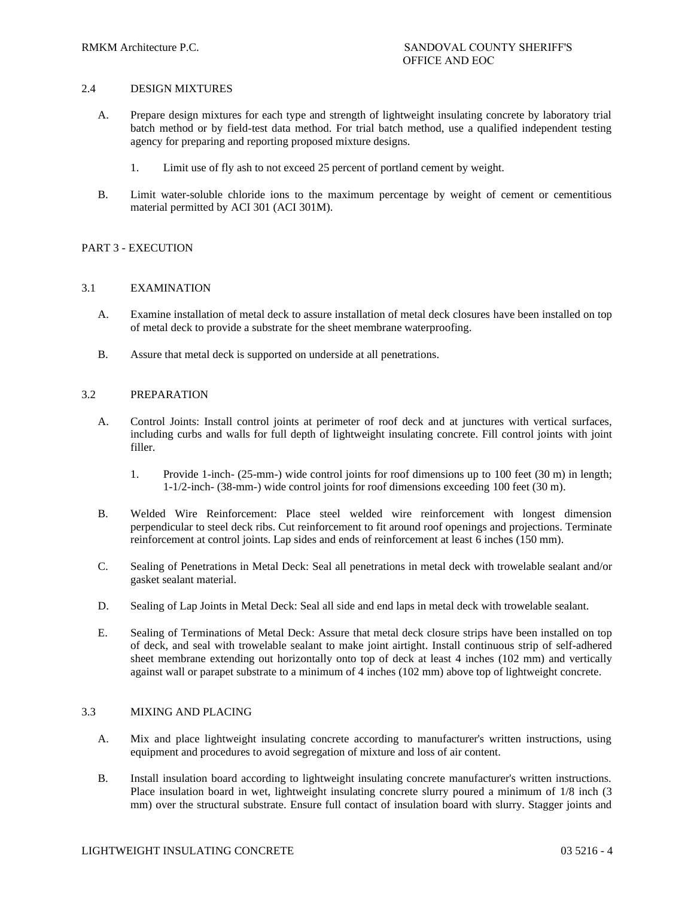### 2.4 DESIGN MIXTURES

- A. Prepare design mixtures for each type and strength of lightweight insulating concrete by laboratory trial batch method or by field-test data method. For trial batch method, use a qualified independent testing agency for preparing and reporting proposed mixture designs.
	- 1. Limit use of fly ash to not exceed 25 percent of portland cement by weight.
- B. Limit water-soluble chloride ions to the maximum percentage by weight of cement or cementitious material permitted by ACI 301 (ACI 301M).

#### PART 3 - EXECUTION

#### 3.1 EXAMINATION

- A. Examine installation of metal deck to assure installation of metal deck closures have been installed on top of metal deck to provide a substrate for the sheet membrane waterproofing.
- B. Assure that metal deck is supported on underside at all penetrations.

#### 3.2 PREPARATION

- A. Control Joints: Install control joints at perimeter of roof deck and at junctures with vertical surfaces, including curbs and walls for full depth of lightweight insulating concrete. Fill control joints with joint filler.
	- 1. Provide 1-inch- (25-mm-) wide control joints for roof dimensions up to 100 feet (30 m) in length; 1-1/2-inch- (38-mm-) wide control joints for roof dimensions exceeding 100 feet (30 m).
- B. Welded Wire Reinforcement: Place steel welded wire reinforcement with longest dimension perpendicular to steel deck ribs. Cut reinforcement to fit around roof openings and projections. Terminate reinforcement at control joints. Lap sides and ends of reinforcement at least 6 inches (150 mm).
- C. Sealing of Penetrations in Metal Deck: Seal all penetrations in metal deck with trowelable sealant and/or gasket sealant material.
- D. Sealing of Lap Joints in Metal Deck: Seal all side and end laps in metal deck with trowelable sealant.
- E. Sealing of Terminations of Metal Deck: Assure that metal deck closure strips have been installed on top of deck, and seal with trowelable sealant to make joint airtight. Install continuous strip of self-adhered sheet membrane extending out horizontally onto top of deck at least 4 inches (102 mm) and vertically against wall or parapet substrate to a minimum of 4 inches (102 mm) above top of lightweight concrete.

#### 3.3 MIXING AND PLACING

- A. Mix and place lightweight insulating concrete according to manufacturer's written instructions, using equipment and procedures to avoid segregation of mixture and loss of air content.
- B. Install insulation board according to lightweight insulating concrete manufacturer's written instructions. Place insulation board in wet, lightweight insulating concrete slurry poured a minimum of 1/8 inch (3 mm) over the structural substrate. Ensure full contact of insulation board with slurry. Stagger joints and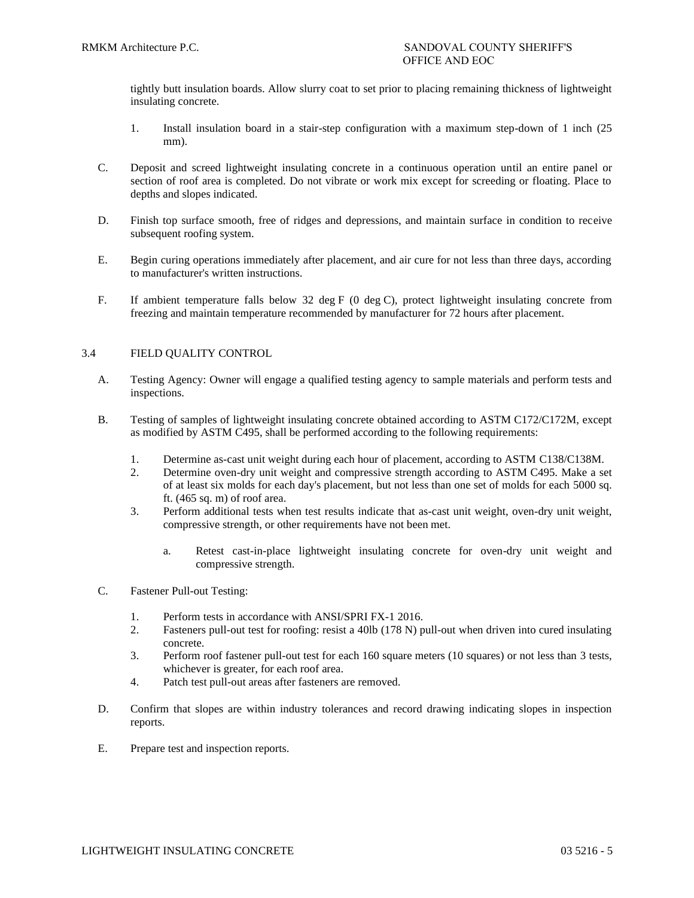tightly butt insulation boards. Allow slurry coat to set prior to placing remaining thickness of lightweight insulating concrete.

- 1. Install insulation board in a stair-step configuration with a maximum step-down of 1 inch (25 mm).
- C. Deposit and screed lightweight insulating concrete in a continuous operation until an entire panel or section of roof area is completed. Do not vibrate or work mix except for screeding or floating. Place to depths and slopes indicated.
- D. Finish top surface smooth, free of ridges and depressions, and maintain surface in condition to receive subsequent roofing system.
- E. Begin curing operations immediately after placement, and air cure for not less than three days, according to manufacturer's written instructions.
- F. If ambient temperature falls below 32 deg F (0 deg C), protect lightweight insulating concrete from freezing and maintain temperature recommended by manufacturer for 72 hours after placement.

# 3.4 FIELD QUALITY CONTROL

- A. Testing Agency: Owner will engage a qualified testing agency to sample materials and perform tests and inspections.
- B. Testing of samples of lightweight insulating concrete obtained according to ASTM C172/C172M, except as modified by ASTM C495, shall be performed according to the following requirements:
	- 1. Determine as-cast unit weight during each hour of placement, according to ASTM C138/C138M.
	- 2. Determine oven-dry unit weight and compressive strength according to ASTM C495. Make a set of at least six molds for each day's placement, but not less than one set of molds for each 5000 sq. ft. (465 sq. m) of roof area.
	- 3. Perform additional tests when test results indicate that as-cast unit weight, oven-dry unit weight, compressive strength, or other requirements have not been met.
		- a. Retest cast-in-place lightweight insulating concrete for oven-dry unit weight and compressive strength.
- C. Fastener Pull-out Testing:
	- 1. Perform tests in accordance with ANSI/SPRI FX-1 2016.
	- 2. Fasteners pull-out test for roofing: resist a 40lb (178 N) pull-out when driven into cured insulating concrete.
	- 3. Perform roof fastener pull-out test for each 160 square meters (10 squares) or not less than 3 tests, whichever is greater, for each roof area.
	- 4. Patch test pull-out areas after fasteners are removed.
- D. Confirm that slopes are within industry tolerances and record drawing indicating slopes in inspection reports.
- E. Prepare test and inspection reports.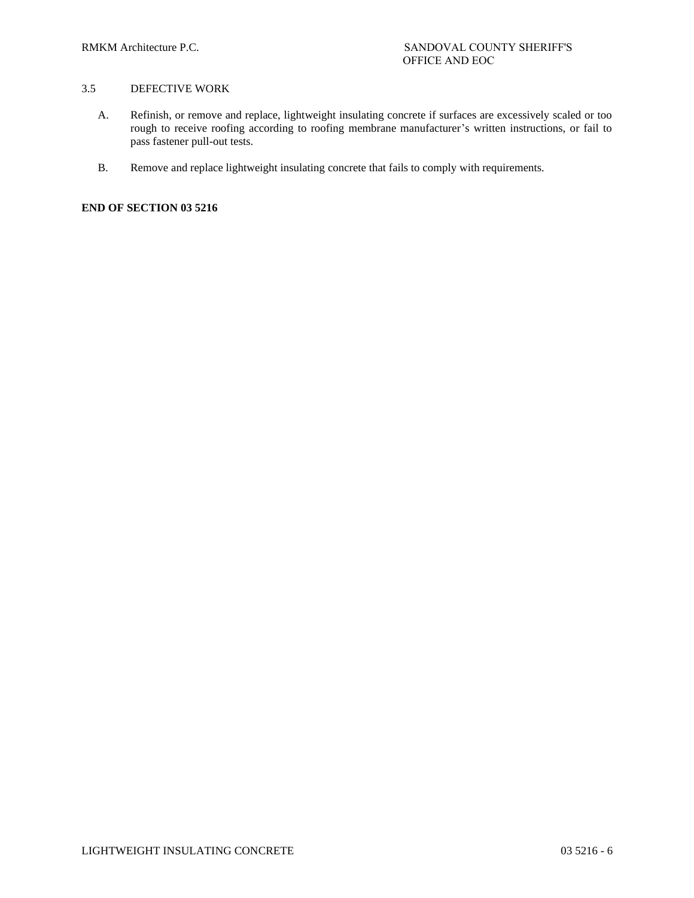# 3.5 DEFECTIVE WORK

- A. Refinish, or remove and replace, lightweight insulating concrete if surfaces are excessively scaled or too rough to receive roofing according to roofing membrane manufacturer's written instructions, or fail to pass fastener pull-out tests.
- B. Remove and replace lightweight insulating concrete that fails to comply with requirements.

**END OF SECTION 03 5216**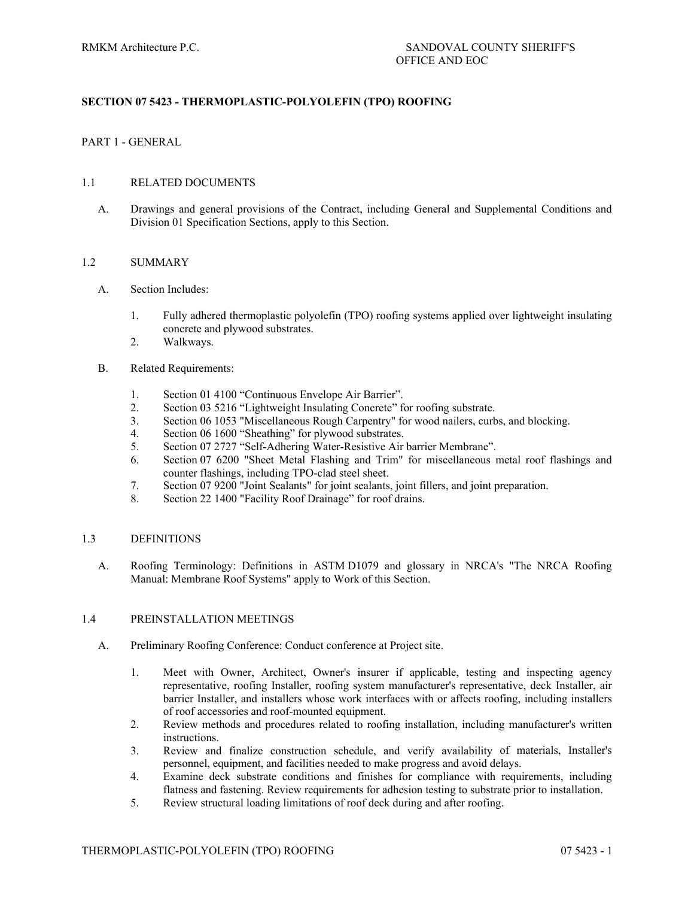# **SECTION 07 5423 - THERMOPLASTIC-POLYOLEFIN (TPO) ROOFING**

### PART 1 - GENERAL

#### 1.1 RELATED DOCUMENTS

A. Drawings and general provisions of the Contract, including General and Supplemental Conditions and Division 01 Specification Sections, apply to this Section.

#### 1.2 SUMMARY

#### A. Section Includes:

- 1. Fully adhered thermoplastic polyolefin (TPO) roofing systems applied over lightweight insulating concrete and plywood substrates.
- 2. Walkways.
- B. Related Requirements:
	- 1. Section 01 4100 "Continuous Envelope Air Barrier".
	- 2. Section 03 5216 "Lightweight Insulating Concrete" for roofing substrate.
	- 3. Section 06 1053 "Miscellaneous Rough Carpentry" for wood nailers, curbs, and blocking.
	- 4. Section 06 1600 "Sheathing" for plywood substrates.
	- 5. Section 07 2727 "Self-Adhering Water-Resistive Air barrier Membrane".
	- 6. Section 07 6200 "Sheet Metal Flashing and Trim" for miscellaneous metal roof flashings and counter flashings, including TPO-clad steel sheet.
	- 7. Section 07 9200 "Joint Sealants" for joint sealants, joint fillers, and joint preparation.
	- 8. Section 22 1400 "Facility Roof Drainage" for roof drains.

#### 1.3 DEFINITIONS

A. Roofing Terminology: Definitions in ASTM D1079 and glossary in NRCA's "The NRCA Roofing Manual: Membrane Roof Systems" apply to Work of this Section.

#### 1.4 PREINSTALLATION MEETINGS

- A. Preliminary Roofing Conference: Conduct conference at Project site.
	- 1. Meet with Owner, Architect, Owner's insurer if applicable, testing and inspecting agency representative, roofing Installer, roofing system manufacturer's representative, deck Installer, air barrier Installer, and installers whose work interfaces with or affects roofing, including installers of roof accessories and roof-mounted equipment.
	- 2. Review methods and procedures related to roofing installation, including manufacturer's written instructions.
	- 3. Review and finalize construction schedule, and verify availability of materials, Installer's personnel, equipment, and facilities needed to make progress and avoid delays.
	- 4. Examine deck substrate conditions and finishes for compliance with requirements, including flatness and fastening. Review requirements for adhesion testing to substrate prior to installation.
	- 5. Review structural loading limitations of roof deck during and after roofing.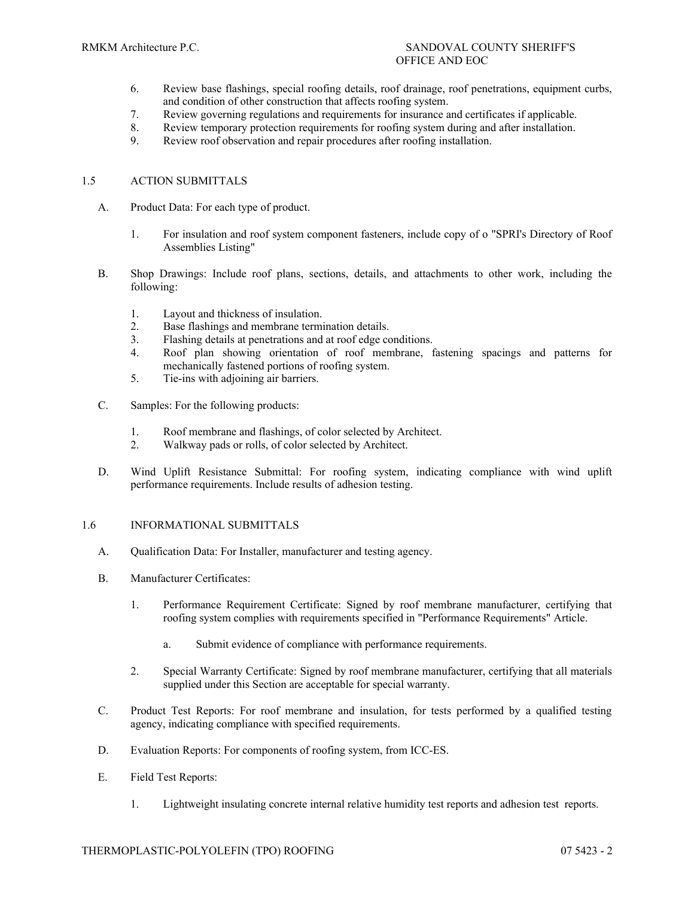- 6. Review base flashings, special roofing details, roof drainage, roof penetrations, equipment curbs, and condition of other construction that affects roofing system.
- 7. Review governing regulations and requirements for insurance and certificates if applicable.
- 8. Review temporary protection requirements for roofing system during and after installation.
- 9. Review roof observation and repair procedures after roofing installation.

# 1.5 ACTION SUBMITTALS

- A. Product Data: For each type of product.
	- 1. For insulation and roof system component fasteners, include copy of o "SPRI's Directory of Roof Assemblies Listing"
- B. Shop Drawings: Include roof plans, sections, details, and attachments to other work, including the following:
	- 1. Layout and thickness of insulation.
	- 2. Base flashings and membrane termination details.
	- 3. Flashing details at penetrations and at roof edge conditions.
	- 4. Roof plan showing orientation of roof membrane, fastening spacings and patterns for mechanically fastened portions of roofing system.
	- 5. Tie-ins with adjoining air barriers.
- C. Samples: For the following products:
	- 1. Roof membrane and flashings, of color selected by Architect.<br>2. Walkway pads or rolls, of color selected by Architect.
	- Walkway pads or rolls, of color selected by Architect.
- D. Wind Uplift Resistance Submittal: For roofing system, indicating compliance with wind uplift performance requirements. Include results of adhesion testing.

# 1.6 INFORMATIONAL SUBMITTALS

- A. Qualification Data: For Installer, manufacturer and testing agency.
- B. Manufacturer Certificates:
	- 1. Performance Requirement Certificate: Signed by roof membrane manufacturer, certifying that roofing system complies with requirements specified in "Performance Requirements" Article.
		- a. Submit evidence of compliance with performance requirements.
	- 2. Special Warranty Certificate: Signed by roof membrane manufacturer, certifying that all materials supplied under this Section are acceptable for special warranty.
- C. Product Test Reports: For roof membrane and insulation, for tests performed by a qualified testing agency, indicating compliance with specified requirements.
- D. Evaluation Reports: For components of roofing system, from ICC-ES.
- E. Field Test Reports:
	- 1. Lightweight insulating concrete internal relative humidity test reports and adhesion test reports.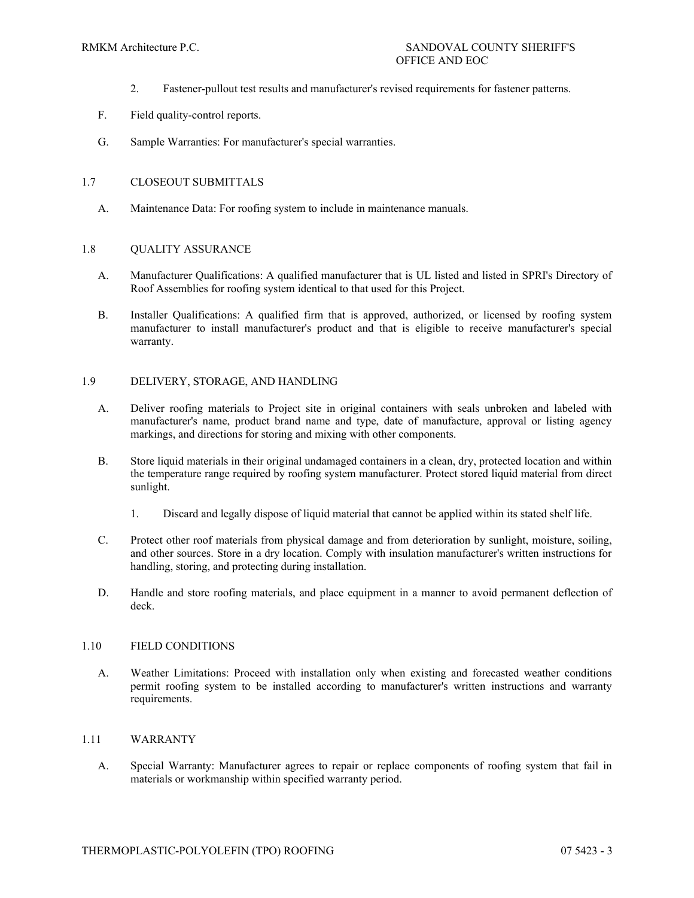- 2. Fastener-pullout test results and manufacturer's revised requirements for fastener patterns.
- F. Field quality-control reports.
- G. Sample Warranties: For manufacturer's special warranties.

# 1.7 CLOSEOUT SUBMITTALS

A. Maintenance Data: For roofing system to include in maintenance manuals.

# 1.8 QUALITY ASSURANCE

- A. Manufacturer Qualifications: A qualified manufacturer that is UL listed and listed in SPRI's Directory of Roof Assemblies for roofing system identical to that used for this Project.
- B. Installer Qualifications: A qualified firm that is approved, authorized, or licensed by roofing system manufacturer to install manufacturer's product and that is eligible to receive manufacturer's special warranty.

# 1.9 DELIVERY, STORAGE, AND HANDLING

- A. Deliver roofing materials to Project site in original containers with seals unbroken and labeled with manufacturer's name, product brand name and type, date of manufacture, approval or listing agency markings, and directions for storing and mixing with other components.
- B. Store liquid materials in their original undamaged containers in a clean, dry, protected location and within the temperature range required by roofing system manufacturer. Protect stored liquid material from direct sunlight.
	- 1. Discard and legally dispose of liquid material that cannot be applied within its stated shelf life.
- C. Protect other roof materials from physical damage and from deterioration by sunlight, moisture, soiling, and other sources. Store in a dry location. Comply with insulation manufacturer's written instructions for handling, storing, and protecting during installation.
- D. Handle and store roofing materials, and place equipment in a manner to avoid permanent deflection of deck.

# 1.10 FIELD CONDITIONS

A. Weather Limitations: Proceed with installation only when existing and forecasted weather conditions permit roofing system to be installed according to manufacturer's written instructions and warranty requirements.

# 1.11 WARRANTY

A. Special Warranty: Manufacturer agrees to repair or replace components of roofing system that fail in materials or workmanship within specified warranty period.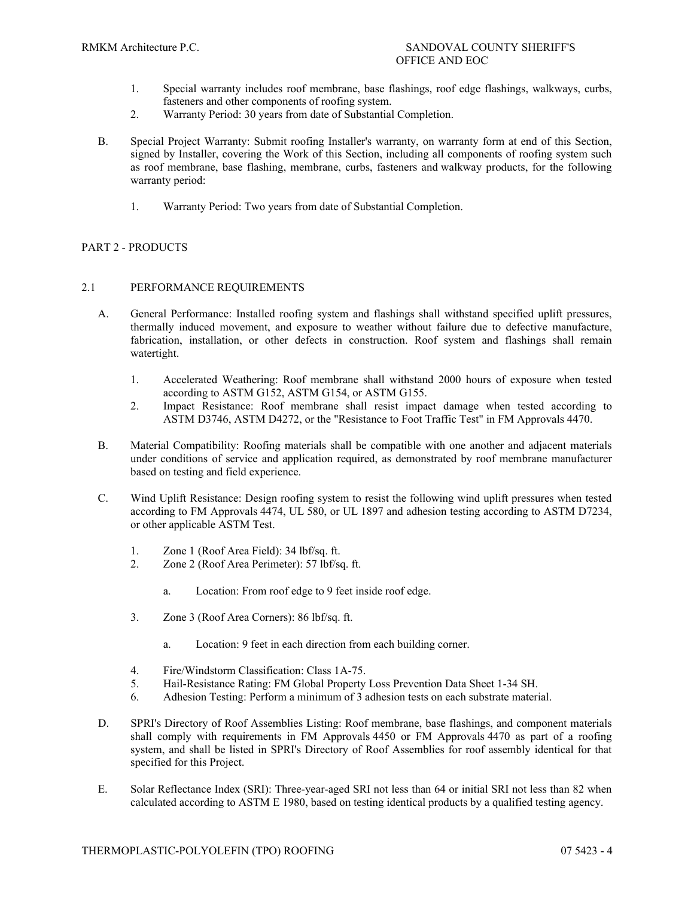- 1. Special warranty includes roof membrane, base flashings, roof edge flashings, walkways, curbs, fasteners and other components of roofing system.
- 2. Warranty Period: 30 years from date of Substantial Completion.
- B. Special Project Warranty: Submit roofing Installer's warranty, on warranty form at end of this Section, signed by Installer, covering the Work of this Section, including all components of roofing system such as roof membrane, base flashing, membrane, curbs, fasteners and walkway products, for the following warranty period:
	- 1. Warranty Period: Two years from date of Substantial Completion.

# PART 2 - PRODUCTS

# 2.1 PERFORMANCE REQUIREMENTS

- A. General Performance: Installed roofing system and flashings shall withstand specified uplift pressures, thermally induced movement, and exposure to weather without failure due to defective manufacture, fabrication, installation, or other defects in construction. Roof system and flashings shall remain watertight.
	- 1. Accelerated Weathering: Roof membrane shall withstand 2000 hours of exposure when tested according to ASTM G152, ASTM G154, or ASTM G155.
	- 2. Impact Resistance: Roof membrane shall resist impact damage when tested according to ASTM D3746, ASTM D4272, or the "Resistance to Foot Traffic Test" in FM Approvals 4470.
- B. Material Compatibility: Roofing materials shall be compatible with one another and adjacent materials under conditions of service and application required, as demonstrated by roof membrane manufacturer based on testing and field experience.
- C. Wind Uplift Resistance: Design roofing system to resist the following wind uplift pressures when tested according to FM Approvals 4474, UL 580, or UL 1897 and adhesion testing according to ASTM D7234, or other applicable ASTM Test.
	- 1. Zone 1 (Roof Area Field): 34 lbf/sq. ft.
	- 2. Zone 2 (Roof Area Perimeter): 57 lbf/sq. ft.
		- a. Location: From roof edge to 9 feet inside roof edge.
	- 3. Zone 3 (Roof Area Corners): 86 lbf/sq. ft.
		- a. Location: 9 feet in each direction from each building corner.
	- 4. Fire/Windstorm Classification: Class 1A-75.
	- 5. Hail-Resistance Rating: FM Global Property Loss Prevention Data Sheet 1-34 SH.
	- 6. Adhesion Testing: Perform a minimum of 3 adhesion tests on each substrate material.
- D. SPRI's Directory of Roof Assemblies Listing: Roof membrane, base flashings, and component materials shall comply with requirements in FM Approvals 4450 or FM Approvals 4470 as part of a roofing system, and shall be listed in SPRI's Directory of Roof Assemblies for roof assembly identical for that specified for this Project.
- E. Solar Reflectance Index (SRI): Three-year-aged SRI not less than 64 or initial SRI not less than 82 when calculated according to ASTM E 1980, based on testing identical products by a qualified testing agency.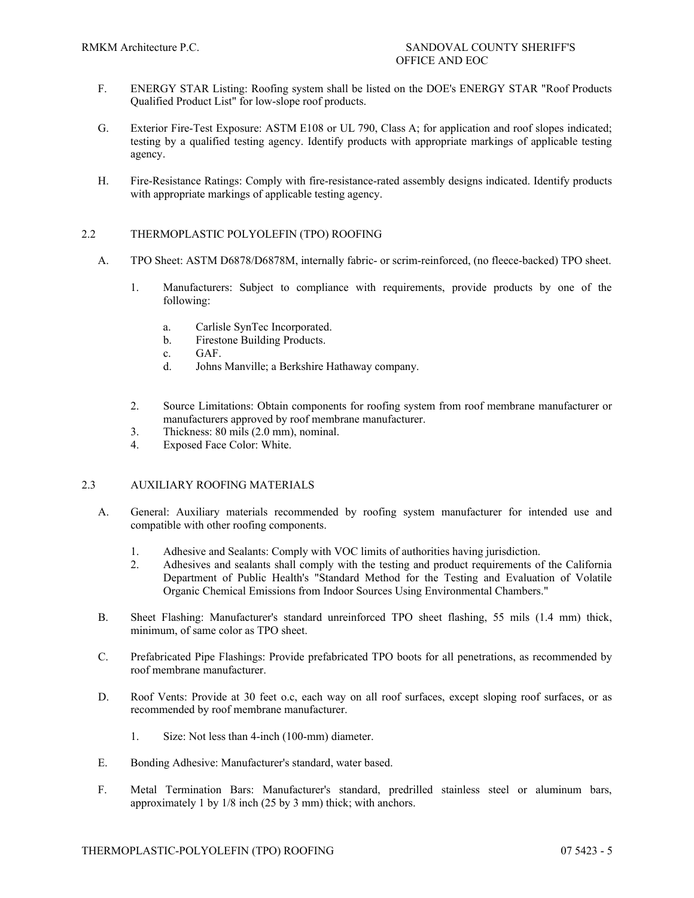- F. ENERGY STAR Listing: Roofing system shall be listed on the DOE's ENERGY STAR "Roof Products Qualified Product List" for low-slope roof products.
- G. Exterior Fire-Test Exposure: ASTM E108 or UL 790, Class A; for application and roof slopes indicated; testing by a qualified testing agency. Identify products with appropriate markings of applicable testing agency.
- H. Fire-Resistance Ratings: Comply with fire-resistance-rated assembly designs indicated. Identify products with appropriate markings of applicable testing agency.

# 2.2 THERMOPLASTIC POLYOLEFIN (TPO) ROOFING

- A. TPO Sheet: ASTM D6878/D6878M, internally fabric- or scrim-reinforced, (no fleece-backed) TPO sheet.
	- 1. Manufacturers: Subject to compliance with requirements, provide products by one of the following:
		- a. Carlisle SynTec Incorporated.
		- b. Firestone Building Products.
		- c. GAF.
		- d. Johns Manville; a Berkshire Hathaway company.
	- 2. Source Limitations: Obtain components for roofing system from roof membrane manufacturer or manufacturers approved by roof membrane manufacturer.
	- 3. Thickness: 80 mils (2.0 mm), nominal.
	- 4. Exposed Face Color: White.

# 2.3 AUXILIARY ROOFING MATERIALS

- A. General: Auxiliary materials recommended by roofing system manufacturer for intended use and compatible with other roofing components.
	- 1. Adhesive and Sealants: Comply with VOC limits of authorities having jurisdiction.<br>2. Adhesives and sealants shall comply with the testing and product requirements of
	- 2. Adhesives and sealants shall comply with the testing and product requirements of the California Department of Public Health's "Standard Method for the Testing and Evaluation of Volatile Organic Chemical Emissions from Indoor Sources Using Environmental Chambers."
- B. Sheet Flashing: Manufacturer's standard unreinforced TPO sheet flashing, 55 mils (1.4 mm) thick, minimum, of same color as TPO sheet.
- C. Prefabricated Pipe Flashings: Provide prefabricated TPO boots for all penetrations, as recommended by roof membrane manufacturer.
- D. Roof Vents: Provide at 30 feet o.c, each way on all roof surfaces, except sloping roof surfaces, or as recommended by roof membrane manufacturer.
	- 1. Size: Not less than 4-inch (100-mm) diameter.
- E. Bonding Adhesive: Manufacturer's standard, water based.
- F. Metal Termination Bars: Manufacturer's standard, predrilled stainless steel or aluminum bars, approximately 1 by 1/8 inch (25 by 3 mm) thick; with anchors.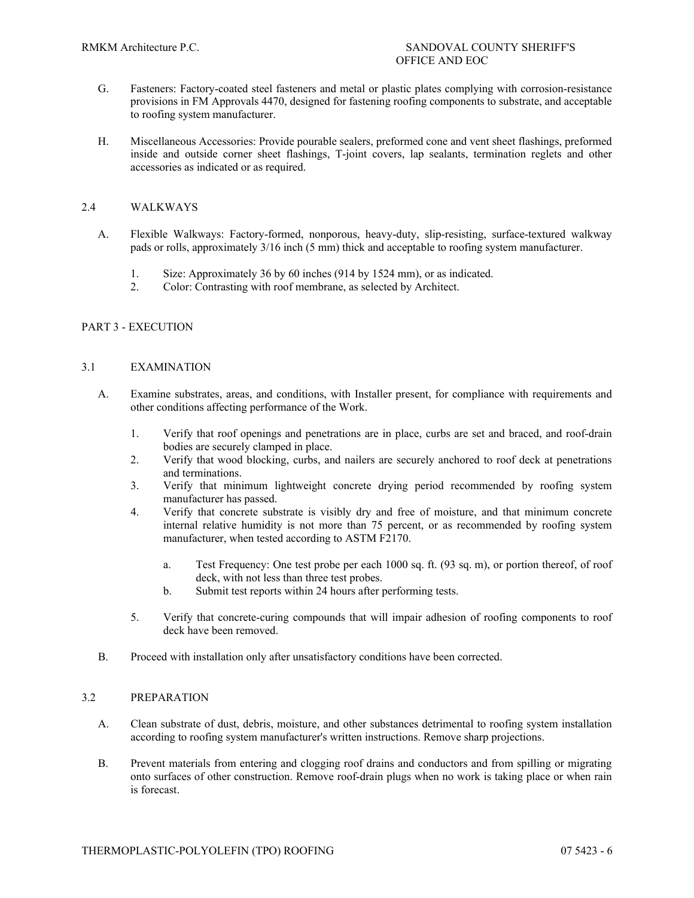- G. Fasteners: Factory-coated steel fasteners and metal or plastic plates complying with corrosion-resistance provisions in FM Approvals 4470, designed for fastening roofing components to substrate, and acceptable to roofing system manufacturer.
- H. Miscellaneous Accessories: Provide pourable sealers, preformed cone and vent sheet flashings, preformed inside and outside corner sheet flashings, T-joint covers, lap sealants, termination reglets and other accessories as indicated or as required.

# 2.4 WALKWAYS

- A. Flexible Walkways: Factory-formed, nonporous, heavy-duty, slip-resisting, surface-textured walkway pads or rolls, approximately 3/16 inch (5 mm) thick and acceptable to roofing system manufacturer.
	- 1. Size: Approximately 36 by 60 inches (914 by 1524 mm), or as indicated.
	- 2. Color: Contrasting with roof membrane, as selected by Architect.

# PART 3 - EXECUTION

# 3.1 EXAMINATION

- A. Examine substrates, areas, and conditions, with Installer present, for compliance with requirements and other conditions affecting performance of the Work.
	- 1. Verify that roof openings and penetrations are in place, curbs are set and braced, and roof-drain bodies are securely clamped in place.
	- 2. Verify that wood blocking, curbs, and nailers are securely anchored to roof deck at penetrations and terminations.
	- 3. Verify that minimum lightweight concrete drying period recommended by roofing system manufacturer has passed.
	- 4. Verify that concrete substrate is visibly dry and free of moisture, and that minimum concrete internal relative humidity is not more than 75 percent, or as recommended by roofing system manufacturer, when tested according to ASTM F2170.
		- a. Test Frequency: One test probe per each 1000 sq. ft. (93 sq. m), or portion thereof, of roof deck, with not less than three test probes.
		- b. Submit test reports within 24 hours after performing tests.
	- 5. Verify that concrete-curing compounds that will impair adhesion of roofing components to roof deck have been removed.
- B. Proceed with installation only after unsatisfactory conditions have been corrected.

# 3.2 PREPARATION

- A. Clean substrate of dust, debris, moisture, and other substances detrimental to roofing system installation according to roofing system manufacturer's written instructions. Remove sharp projections.
- B. Prevent materials from entering and clogging roof drains and conductors and from spilling or migrating onto surfaces of other construction. Remove roof-drain plugs when no work is taking place or when rain is forecast.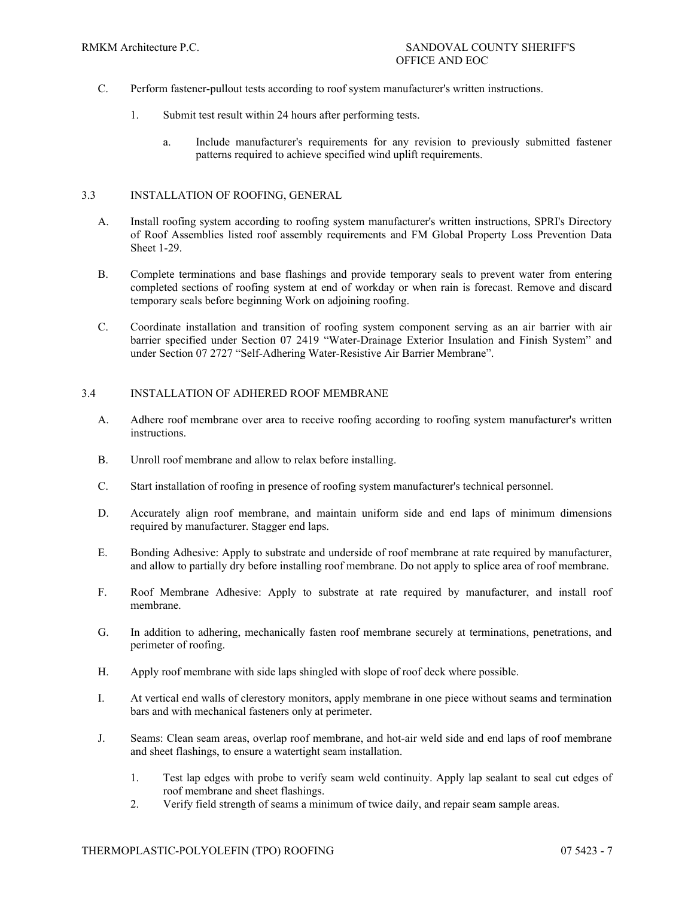- C. Perform fastener-pullout tests according to roof system manufacturer's written instructions.
	- 1. Submit test result within 24 hours after performing tests.
		- a. Include manufacturer's requirements for any revision to previously submitted fastener patterns required to achieve specified wind uplift requirements.

# 3.3 INSTALLATION OF ROOFING, GENERAL

- A. Install roofing system according to roofing system manufacturer's written instructions, SPRI's Directory of Roof Assemblies listed roof assembly requirements and FM Global Property Loss Prevention Data Sheet 1-29.
- B. Complete terminations and base flashings and provide temporary seals to prevent water from entering completed sections of roofing system at end of workday or when rain is forecast. Remove and discard temporary seals before beginning Work on adjoining roofing.
- C. Coordinate installation and transition of roofing system component serving as an air barrier with air barrier specified under Section 07 2419 "Water-Drainage Exterior Insulation and Finish System" and under Section 07 2727 "Self-Adhering Water-Resistive Air Barrier Membrane".

# 3.4 INSTALLATION OF ADHERED ROOF MEMBRANE

- A. Adhere roof membrane over area to receive roofing according to roofing system manufacturer's written instructions.
- B. Unroll roof membrane and allow to relax before installing.
- C. Start installation of roofing in presence of roofing system manufacturer's technical personnel.
- D. Accurately align roof membrane, and maintain uniform side and end laps of minimum dimensions required by manufacturer. Stagger end laps.
- E. Bonding Adhesive: Apply to substrate and underside of roof membrane at rate required by manufacturer, and allow to partially dry before installing roof membrane. Do not apply to splice area of roof membrane.
- F. Roof Membrane Adhesive: Apply to substrate at rate required by manufacturer, and install roof membrane.
- G. In addition to adhering, mechanically fasten roof membrane securely at terminations, penetrations, and perimeter of roofing.
- H. Apply roof membrane with side laps shingled with slope of roof deck where possible.
- I. At vertical end walls of clerestory monitors, apply membrane in one piece without seams and termination bars and with mechanical fasteners only at perimeter.
- J. Seams: Clean seam areas, overlap roof membrane, and hot-air weld side and end laps of roof membrane and sheet flashings, to ensure a watertight seam installation.
	- 1. Test lap edges with probe to verify seam weld continuity. Apply lap sealant to seal cut edges of roof membrane and sheet flashings.
	- 2. Verify field strength of seams a minimum of twice daily, and repair seam sample areas.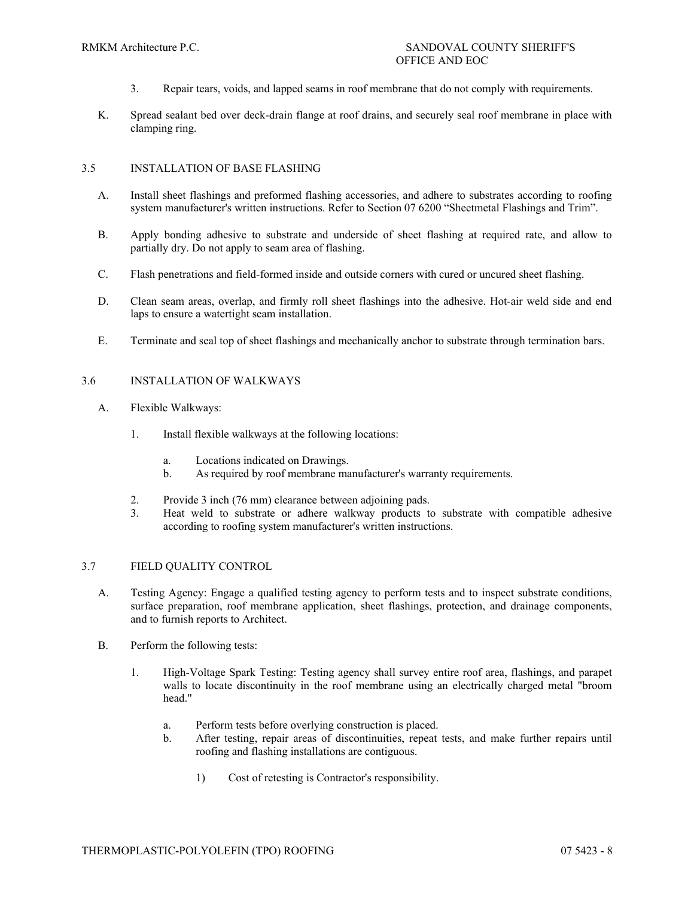- 3. Repair tears, voids, and lapped seams in roof membrane that do not comply with requirements.
- K. Spread sealant bed over deck-drain flange at roof drains, and securely seal roof membrane in place with clamping ring.

# 3.5 INSTALLATION OF BASE FLASHING

- A. Install sheet flashings and preformed flashing accessories, and adhere to substrates according to roofing system manufacturer's written instructions. Refer to Section 07 6200 "Sheetmetal Flashings and Trim".
- B. Apply bonding adhesive to substrate and underside of sheet flashing at required rate, and allow to partially dry. Do not apply to seam area of flashing.
- C. Flash penetrations and field-formed inside and outside corners with cured or uncured sheet flashing.
- D. Clean seam areas, overlap, and firmly roll sheet flashings into the adhesive. Hot-air weld side and end laps to ensure a watertight seam installation.
- E. Terminate and seal top of sheet flashings and mechanically anchor to substrate through termination bars.

# 3.6 INSTALLATION OF WALKWAYS

- A. Flexible Walkways:
	- 1. Install flexible walkways at the following locations:
		- a. Locations indicated on Drawings.
		- b. As required by roof membrane manufacturer's warranty requirements.
	- 2. Provide 3 inch (76 mm) clearance between adjoining pads.
	- 3. Heat weld to substrate or adhere walkway products to substrate with compatible adhesive according to roofing system manufacturer's written instructions.

# 3.7 FIELD QUALITY CONTROL

- A. Testing Agency: Engage a qualified testing agency to perform tests and to inspect substrate conditions, surface preparation, roof membrane application, sheet flashings, protection, and drainage components, and to furnish reports to Architect.
- B. Perform the following tests:
	- 1. High-Voltage Spark Testing: Testing agency shall survey entire roof area, flashings, and parapet walls to locate discontinuity in the roof membrane using an electrically charged metal "broom head."
		- a. Perform tests before overlying construction is placed.
		- b. After testing, repair areas of discontinuities, repeat tests, and make further repairs until roofing and flashing installations are contiguous.
			- 1) Cost of retesting is Contractor's responsibility.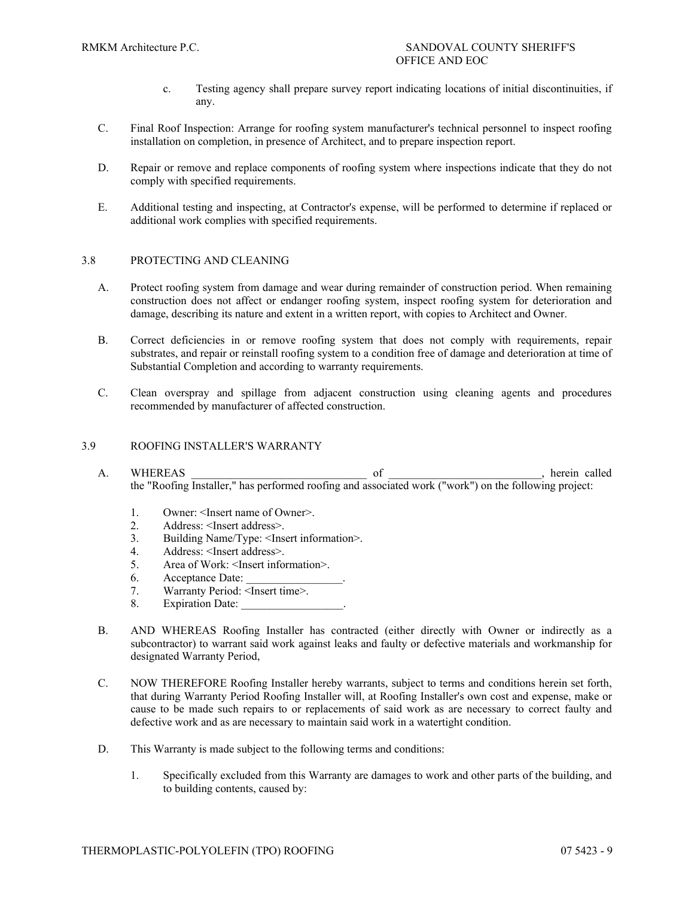- c. Testing agency shall prepare survey report indicating locations of initial discontinuities, if any.
- C. Final Roof Inspection: Arrange for roofing system manufacturer's technical personnel to inspect roofing installation on completion, in presence of Architect, and to prepare inspection report.
- D. Repair or remove and replace components of roofing system where inspections indicate that they do not comply with specified requirements.
- E. Additional testing and inspecting, at Contractor's expense, will be performed to determine if replaced or additional work complies with specified requirements.

#### 3.8 PROTECTING AND CLEANING

- A. Protect roofing system from damage and wear during remainder of construction period. When remaining construction does not affect or endanger roofing system, inspect roofing system for deterioration and damage, describing its nature and extent in a written report, with copies to Architect and Owner.
- B. Correct deficiencies in or remove roofing system that does not comply with requirements, repair substrates, and repair or reinstall roofing system to a condition free of damage and deterioration at time of Substantial Completion and according to warranty requirements.
- C. Clean overspray and spillage from adjacent construction using cleaning agents and procedures recommended by manufacturer of affected construction.

#### 3.9 ROOFING INSTALLER'S WARRANTY

- A. WHEREAS \_\_\_\_\_\_\_\_\_\_\_\_\_\_\_\_\_\_\_\_\_\_\_\_\_\_\_\_\_\_\_ of \_\_\_\_\_\_\_\_\_\_\_\_\_\_\_\_\_\_\_\_\_\_\_\_\_\_\_, herein called the "Roofing Installer," has performed roofing and associated work ("work") on the following project:
	- 1. Owner: <Insert name of Owner>.<br>2. Address: <Insert address>
	- Address: <Insert address>.
	- 3. Building Name/Type: <Insert information>.
	- 4. Address: <Insert address>.
	- 5. Area of Work: <Insert information>.
	- 6. Acceptance Date:
	- 7. Warranty Period: <Insert time>.
	- 8. Expiration Date:
- B. AND WHEREAS Roofing Installer has contracted (either directly with Owner or indirectly as a subcontractor) to warrant said work against leaks and faulty or defective materials and workmanship for designated Warranty Period,
- C. NOW THEREFORE Roofing Installer hereby warrants, subject to terms and conditions herein set forth, that during Warranty Period Roofing Installer will, at Roofing Installer's own cost and expense, make or cause to be made such repairs to or replacements of said work as are necessary to correct faulty and defective work and as are necessary to maintain said work in a watertight condition.
- D. This Warranty is made subject to the following terms and conditions:
	- 1. Specifically excluded from this Warranty are damages to work and other parts of the building, and to building contents, caused by: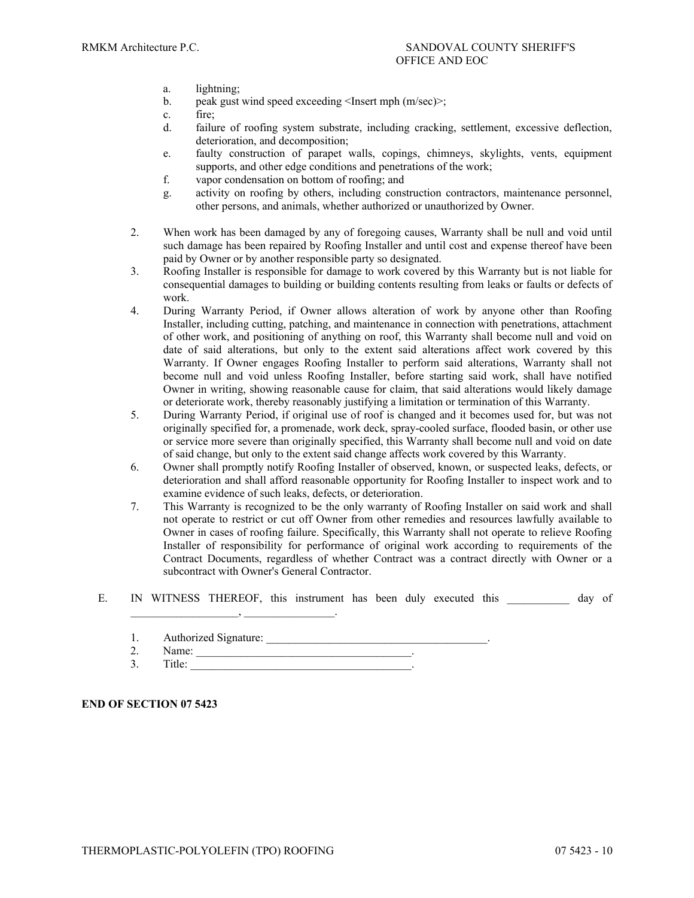- a. lightning;
- b. peak gust wind speed exceeding <Insert mph (m/sec)>;
- c. fire;<br>d failu
- failure of roofing system substrate, including cracking, settlement, excessive deflection, deterioration, and decomposition;
- e. faulty construction of parapet walls, copings, chimneys, skylights, vents, equipment supports, and other edge conditions and penetrations of the work;
- f. vapor condensation on bottom of roofing; and
- g. activity on roofing by others, including construction contractors, maintenance personnel, other persons, and animals, whether authorized or unauthorized by Owner.
- 2. When work has been damaged by any of foregoing causes, Warranty shall be null and void until such damage has been repaired by Roofing Installer and until cost and expense thereof have been paid by Owner or by another responsible party so designated.
- 3. Roofing Installer is responsible for damage to work covered by this Warranty but is not liable for consequential damages to building or building contents resulting from leaks or faults or defects of work.
- 4. During Warranty Period, if Owner allows alteration of work by anyone other than Roofing Installer, including cutting, patching, and maintenance in connection with penetrations, attachment of other work, and positioning of anything on roof, this Warranty shall become null and void on date of said alterations, but only to the extent said alterations affect work covered by this Warranty. If Owner engages Roofing Installer to perform said alterations, Warranty shall not become null and void unless Roofing Installer, before starting said work, shall have notified Owner in writing, showing reasonable cause for claim, that said alterations would likely damage or deteriorate work, thereby reasonably justifying a limitation or termination of this Warranty.
- 5. During Warranty Period, if original use of roof is changed and it becomes used for, but was not originally specified for, a promenade, work deck, spray-cooled surface, flooded basin, or other use or service more severe than originally specified, this Warranty shall become null and void on date of said change, but only to the extent said change affects work covered by this Warranty.
- 6. Owner shall promptly notify Roofing Installer of observed, known, or suspected leaks, defects, or deterioration and shall afford reasonable opportunity for Roofing Installer to inspect work and to examine evidence of such leaks, defects, or deterioration.
- 7. This Warranty is recognized to be the only warranty of Roofing Installer on said work and shall not operate to restrict or cut off Owner from other remedies and resources lawfully available to Owner in cases of roofing failure. Specifically, this Warranty shall not operate to relieve Roofing Installer of responsibility for performance of original work according to requirements of the Contract Documents, regardless of whether Contract was a contract directly with Owner or a subcontract with Owner's General Contractor.
- E. IN WITNESS THEREOF, this instrument has been duly executed this day of
	- 1. Authorized Signature: \_\_\_\_\_\_\_\_\_\_\_\_\_\_\_\_\_\_\_\_\_\_\_\_\_\_\_\_\_\_\_\_\_\_\_\_\_\_\_.
	- 2. Name: \_\_\_\_\_\_\_\_\_\_\_\_\_\_\_\_\_\_\_\_\_\_\_\_\_\_\_\_\_\_\_\_\_\_\_\_\_\_.
	- 3. Title: \_\_\_\_\_\_\_\_\_\_\_\_\_\_\_\_\_\_\_\_\_\_\_\_\_\_\_\_\_\_\_\_\_\_\_\_\_\_\_.

 $\,$ ,  $\,$ 

# **END OF SECTION 07 5423**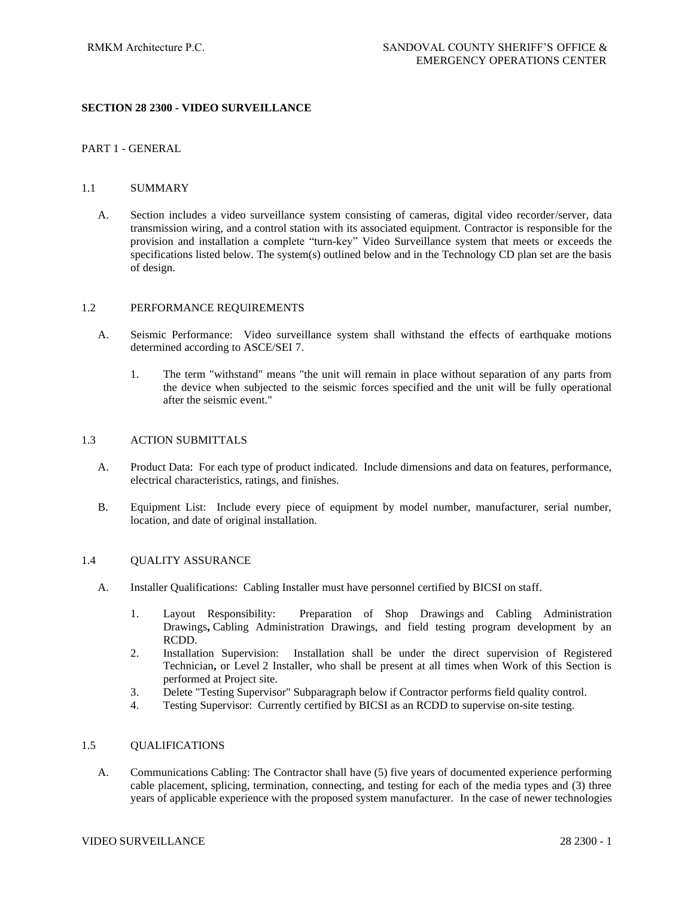#### **SECTION 28 2300 - VIDEO SURVEILLANCE**

#### PART 1 - GENERAL

#### 1.1 SUMMARY

A. Section includes a video surveillance system consisting of cameras, digital video recorder/server, data transmission wiring, and a control station with its associated equipment. Contractor is responsible for the provision and installation a complete "turn-key" Video Surveillance system that meets or exceeds the specifications listed below. The system(s) outlined below and in the Technology CD plan set are the basis of design.

#### 1.2 PERFORMANCE REQUIREMENTS

- A. Seismic Performance: Video surveillance system shall withstand the effects of earthquake motions determined according to ASCE/SEI 7.
	- 1. The term "withstand" means "the unit will remain in place without separation of any parts from the device when subjected to the seismic forces specified and the unit will be fully operational after the seismic event."

#### 1.3 ACTION SUBMITTALS

- A. Product Data: For each type of product indicated. Include dimensions and data on features, performance, electrical characteristics, ratings, and finishes.
- B. Equipment List: Include every piece of equipment by model number, manufacturer, serial number, location, and date of original installation.

#### 1.4 QUALITY ASSURANCE

- A. Installer Qualifications: Cabling Installer must have personnel certified by BICSI on staff.
	- 1. Layout Responsibility: Preparation of Shop Drawings and Cabling Administration Drawings**,** Cabling Administration Drawings, and field testing program development by an RCDD.
	- 2. Installation Supervision: Installation shall be under the direct supervision of Registered Technician**,** or Level 2 Installer, who shall be present at all times when Work of this Section is performed at Project site.
	- 3. Delete "Testing Supervisor" Subparagraph below if Contractor performs field quality control.
	- 4. Testing Supervisor: Currently certified by BICSI as an RCDD to supervise on-site testing.

#### 1.5 QUALIFICATIONS

A. Communications Cabling: The Contractor shall have (5) five years of documented experience performing cable placement, splicing, termination, connecting, and testing for each of the media types and (3) three years of applicable experience with the proposed system manufacturer. In the case of newer technologies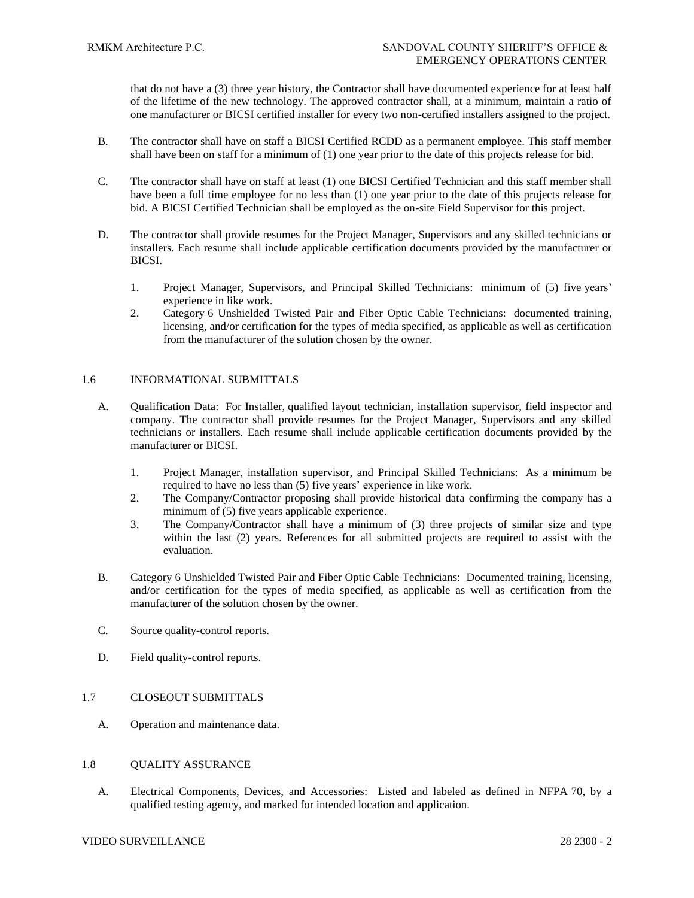that do not have a (3) three year history, the Contractor shall have documented experience for at least half of the lifetime of the new technology. The approved contractor shall, at a minimum, maintain a ratio of one manufacturer or BICSI certified installer for every two non-certified installers assigned to the project.

- B. The contractor shall have on staff a BICSI Certified RCDD as a permanent employee. This staff member shall have been on staff for a minimum of (1) one year prior to the date of this projects release for bid.
- C. The contractor shall have on staff at least (1) one BICSI Certified Technician and this staff member shall have been a full time employee for no less than (1) one year prior to the date of this projects release for bid. A BICSI Certified Technician shall be employed as the on-site Field Supervisor for this project.
- D. The contractor shall provide resumes for the Project Manager, Supervisors and any skilled technicians or installers. Each resume shall include applicable certification documents provided by the manufacturer or BICSI.
	- 1. Project Manager, Supervisors, and Principal Skilled Technicians: minimum of (5) five years' experience in like work.
	- 2. Category 6 Unshielded Twisted Pair and Fiber Optic Cable Technicians: documented training, licensing, and/or certification for the types of media specified, as applicable as well as certification from the manufacturer of the solution chosen by the owner.

#### 1.6 INFORMATIONAL SUBMITTALS

- A. Qualification Data: For Installer, qualified layout technician, installation supervisor, field inspector and company. The contractor shall provide resumes for the Project Manager, Supervisors and any skilled technicians or installers. Each resume shall include applicable certification documents provided by the manufacturer or BICSI.
	- 1. Project Manager, installation supervisor, and Principal Skilled Technicians: As a minimum be required to have no less than (5) five years' experience in like work.
	- 2. The Company/Contractor proposing shall provide historical data confirming the company has a minimum of (5) five years applicable experience.
	- 3. The Company/Contractor shall have a minimum of (3) three projects of similar size and type within the last (2) years. References for all submitted projects are required to assist with the evaluation.
- B. Category 6 Unshielded Twisted Pair and Fiber Optic Cable Technicians: Documented training, licensing, and/or certification for the types of media specified, as applicable as well as certification from the manufacturer of the solution chosen by the owner.
- C. Source quality-control reports.
- D. Field quality-control reports.

# 1.7 CLOSEOUT SUBMITTALS

A. Operation and maintenance data.

#### 1.8 QUALITY ASSURANCE

A. Electrical Components, Devices, and Accessories: Listed and labeled as defined in NFPA 70, by a qualified testing agency, and marked for intended location and application.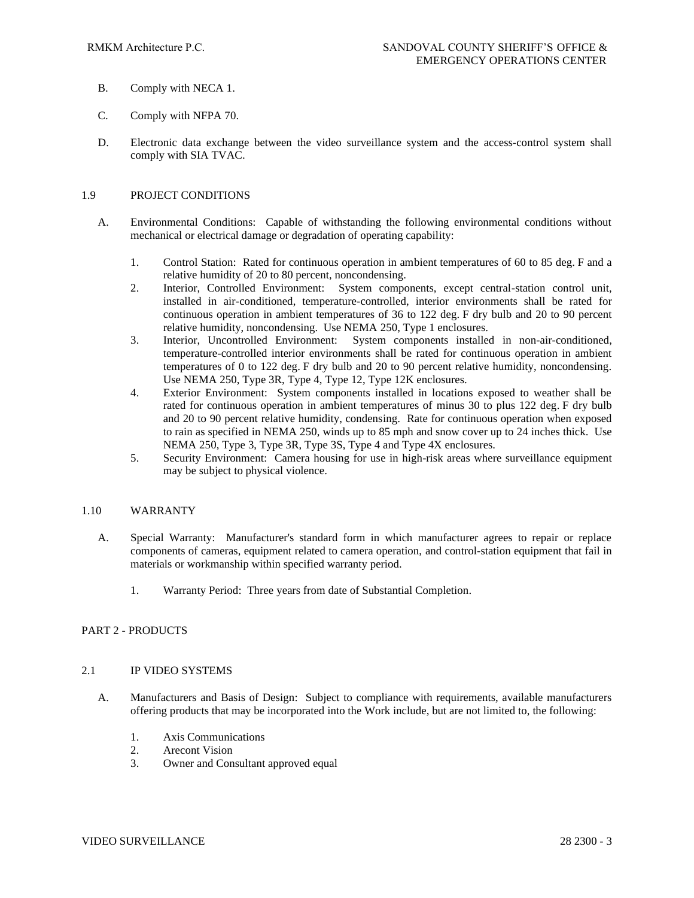- B. Comply with NECA 1.
- C. Comply with NFPA 70.
- D. Electronic data exchange between the video surveillance system and the access-control system shall comply with SIA TVAC.

### 1.9 PROJECT CONDITIONS

- A. Environmental Conditions: Capable of withstanding the following environmental conditions without mechanical or electrical damage or degradation of operating capability:
	- 1. Control Station: Rated for continuous operation in ambient temperatures of 60 to 85 deg. F and a relative humidity of 20 to 80 percent, noncondensing.
	- 2. Interior, Controlled Environment: System components, except central-station control unit, installed in air-conditioned, temperature-controlled, interior environments shall be rated for continuous operation in ambient temperatures of 36 to 122 deg. F dry bulb and 20 to 90 percent relative humidity, noncondensing. Use NEMA 250, Type 1 enclosures.
	- 3. Interior, Uncontrolled Environment: System components installed in non-air-conditioned, temperature-controlled interior environments shall be rated for continuous operation in ambient temperatures of 0 to 122 deg. F dry bulb and 20 to 90 percent relative humidity, noncondensing. Use NEMA 250, Type 3R, Type 4, Type 12, Type 12K enclosures.
	- 4. Exterior Environment: System components installed in locations exposed to weather shall be rated for continuous operation in ambient temperatures of minus 30 to plus 122 deg. F dry bulb and 20 to 90 percent relative humidity, condensing. Rate for continuous operation when exposed to rain as specified in NEMA 250, winds up to 85 mph and snow cover up to 24 inches thick. Use NEMA 250, Type 3, Type 3R, Type 3S, Type 4 and Type 4X enclosures.
	- 5. Security Environment: Camera housing for use in high-risk areas where surveillance equipment may be subject to physical violence.

#### 1.10 WARRANTY

- A. Special Warranty: Manufacturer's standard form in which manufacturer agrees to repair or replace components of cameras, equipment related to camera operation, and control-station equipment that fail in materials or workmanship within specified warranty period.
	- 1. Warranty Period: Three years from date of Substantial Completion.

# PART 2 - PRODUCTS

#### 2.1 IP VIDEO SYSTEMS

- A. Manufacturers and Basis of Design: Subject to compliance with requirements, available manufacturers offering products that may be incorporated into the Work include, but are not limited to, the following:
	- 1. Axis Communications
	- 2. Arecont Vision
	- 3. Owner and Consultant approved equal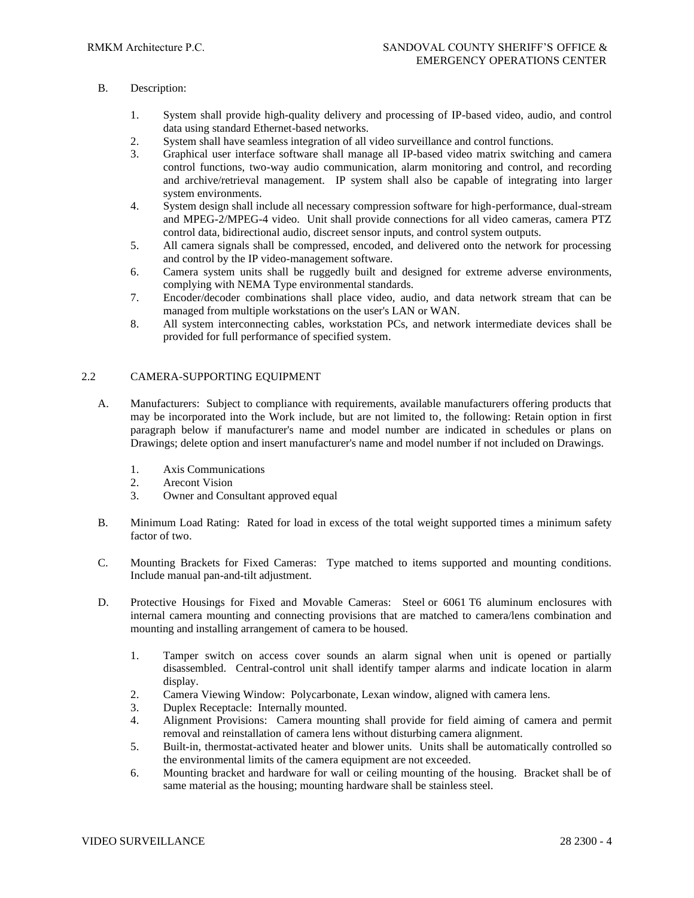# B. Description:

- 1. System shall provide high-quality delivery and processing of IP-based video, audio, and control data using standard Ethernet-based networks.
- 2. System shall have seamless integration of all video surveillance and control functions.
- 3. Graphical user interface software shall manage all IP-based video matrix switching and camera control functions, two-way audio communication, alarm monitoring and control, and recording and archive/retrieval management. IP system shall also be capable of integrating into larger system environments.
- 4. System design shall include all necessary compression software for high-performance, dual-stream and MPEG-2/MPEG-4 video. Unit shall provide connections for all video cameras, camera PTZ control data, bidirectional audio, discreet sensor inputs, and control system outputs.
- 5. All camera signals shall be compressed, encoded, and delivered onto the network for processing and control by the IP video-management software.
- 6. Camera system units shall be ruggedly built and designed for extreme adverse environments, complying with NEMA Type environmental standards.
- 7. Encoder/decoder combinations shall place video, audio, and data network stream that can be managed from multiple workstations on the user's LAN or WAN.
- 8. All system interconnecting cables, workstation PCs, and network intermediate devices shall be provided for full performance of specified system.

### 2.2 CAMERA-SUPPORTING EQUIPMENT

- A. Manufacturers: Subject to compliance with requirements, available manufacturers offering products that may be incorporated into the Work include, but are not limited to, the following: Retain option in first paragraph below if manufacturer's name and model number are indicated in schedules or plans on Drawings; delete option and insert manufacturer's name and model number if not included on Drawings.
	- 1. Axis Communications
	- 2. Arecont Vision
	- 3. Owner and Consultant approved equal
- B. Minimum Load Rating: Rated for load in excess of the total weight supported times a minimum safety factor of two.
- C. Mounting Brackets for Fixed Cameras: Type matched to items supported and mounting conditions. Include manual pan-and-tilt adjustment.
- D. Protective Housings for Fixed and Movable Cameras: Steel or 6061 T6 aluminum enclosures with internal camera mounting and connecting provisions that are matched to camera/lens combination and mounting and installing arrangement of camera to be housed.
	- 1. Tamper switch on access cover sounds an alarm signal when unit is opened or partially disassembled. Central-control unit shall identify tamper alarms and indicate location in alarm display.
	- 2. Camera Viewing Window: Polycarbonate, Lexan window, aligned with camera lens.
	- 3. Duplex Receptacle: Internally mounted.
	- 4. Alignment Provisions: Camera mounting shall provide for field aiming of camera and permit removal and reinstallation of camera lens without disturbing camera alignment.
	- 5. Built-in, thermostat-activated heater and blower units. Units shall be automatically controlled so the environmental limits of the camera equipment are not exceeded.
	- 6. Mounting bracket and hardware for wall or ceiling mounting of the housing. Bracket shall be of same material as the housing; mounting hardware shall be stainless steel.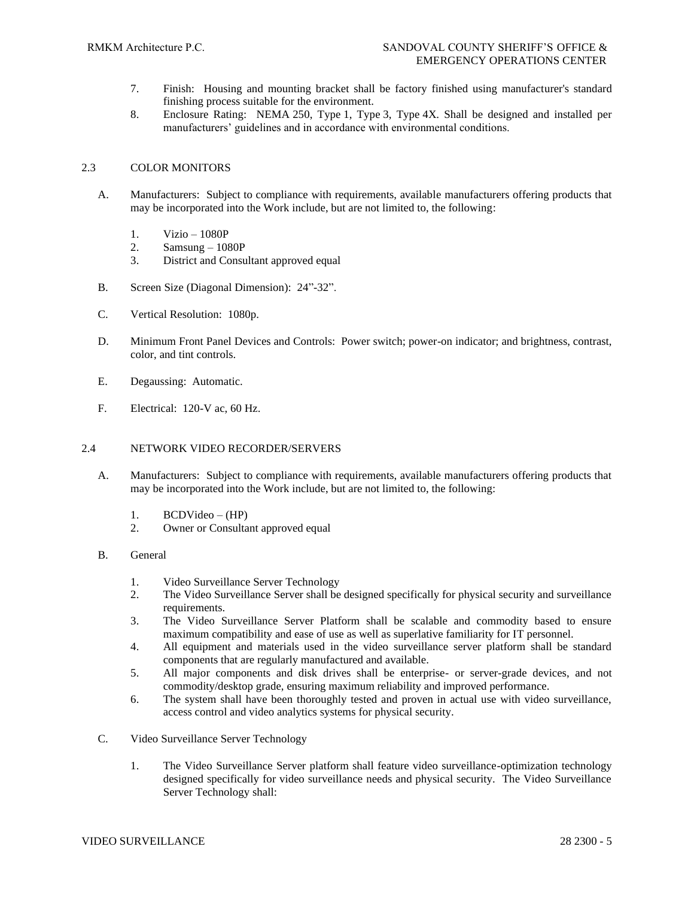- 7. Finish: Housing and mounting bracket shall be factory finished using manufacturer's standard finishing process suitable for the environment.
- 8. Enclosure Rating: NEMA 250, Type 1, Type 3, Type 4X. Shall be designed and installed per manufacturers' guidelines and in accordance with environmental conditions.

#### 2.3 COLOR MONITORS

- A. Manufacturers: Subject to compliance with requirements, available manufacturers offering products that may be incorporated into the Work include, but are not limited to, the following:
	- 1. Vizio 1080P
	- 2. Samsung 1080P
	- 3. District and Consultant approved equal
- B. Screen Size (Diagonal Dimension): 24"-32".
- C. Vertical Resolution: 1080p.
- D. Minimum Front Panel Devices and Controls: Power switch; power-on indicator; and brightness, contrast, color, and tint controls.
- E. Degaussing: Automatic.
- F. Electrical: 120-V ac, 60 Hz.

### 2.4 NETWORK VIDEO RECORDER/SERVERS

- A. Manufacturers: Subject to compliance with requirements, available manufacturers offering products that may be incorporated into the Work include, but are not limited to, the following:
	- 1. BCDVideo (HP)
	- 2. Owner or Consultant approved equal

#### B. General

- 1. Video Surveillance Server Technology
- 2. The Video Surveillance Server shall be designed specifically for physical security and surveillance requirements.
- 3. The Video Surveillance Server Platform shall be scalable and commodity based to ensure maximum compatibility and ease of use as well as superlative familiarity for IT personnel.
- 4. All equipment and materials used in the video surveillance server platform shall be standard components that are regularly manufactured and available.
- 5. All major components and disk drives shall be enterprise- or server-grade devices, and not commodity/desktop grade, ensuring maximum reliability and improved performance.
- 6. The system shall have been thoroughly tested and proven in actual use with video surveillance, access control and video analytics systems for physical security.
- C. Video Surveillance Server Technology
	- 1. The Video Surveillance Server platform shall feature video surveillance-optimization technology designed specifically for video surveillance needs and physical security. The Video Surveillance Server Technology shall: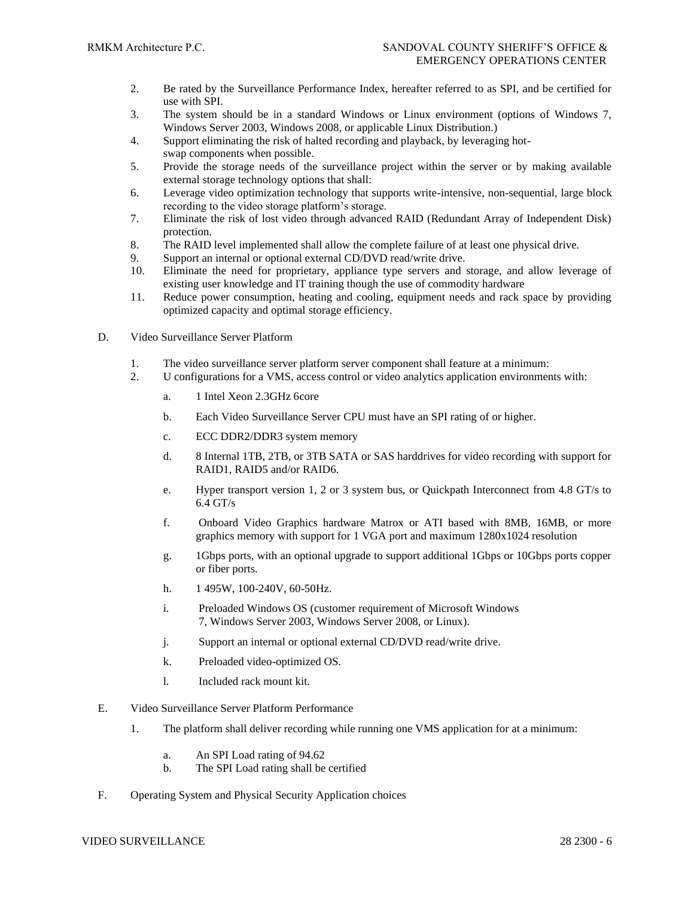- 2. Be rated by the Surveillance Performance Index, hereafter referred to as SPI, and be certified for use with SPI.
- 3. The system should be in a standard Windows or Linux environment (options of Windows 7, Windows Server 2003, Windows 2008, or applicable Linux Distribution.)
- 4. Support eliminating the risk of halted recording and playback, by leveraging hotswap components when possible.
- 5. Provide the storage needs of the surveillance project within the server or by making available external storage technology options that shall:
- 6. Leverage video optimization technology that supports write-intensive, non-sequential, large block recording to the video storage platform's storage.
- 7. Eliminate the risk of lost video through advanced RAID (Redundant Array of Independent Disk) protection.
- 8. The RAID level implemented shall allow the complete failure of at least one physical drive.
- 9. Support an internal or optional external CD/DVD read/write drive.
- 10. Eliminate the need for proprietary, appliance type servers and storage, and allow leverage of existing user knowledge and IT training though the use of commodity hardware
- 11. Reduce power consumption, heating and cooling, equipment needs and rack space by providing optimized capacity and optimal storage efficiency.
- D. Video Surveillance Server Platform
	- 1. The video surveillance server platform server component shall feature at a minimum:
	- 2. U configurations for a VMS, access control or video analytics application environments with:
		- a. 1 Intel Xeon 2.3GHz 6core
		- b. Each Video Surveillance Server CPU must have an SPI rating of or higher.
		- c. ECC DDR2/DDR3 system memory
		- d. 8 Internal 1TB, 2TB, or 3TB SATA or SAS harddrives for video recording with support for RAID1, RAID5 and/or RAID6.
		- e. Hyper transport version 1, 2 or 3 system bus, or Quickpath Interconnect from 4.8 GT/s to 6.4 GT/s
		- f. Onboard Video Graphics hardware Matrox or ATI based with 8MB, 16MB, or more graphics memory with support for 1 VGA port and maximum 1280x1024 resolution
		- g. 1Gbps ports, with an optional upgrade to support additional 1Gbps or 10Gbps ports copper or fiber ports.
		- h. 1 495W, 100-240V, 60-50Hz.
		- i. Preloaded Windows OS (customer requirement of Microsoft Windows 7, Windows Server 2003, Windows Server 2008, or Linux).
		- j. Support an internal or optional external CD/DVD read/write drive.
		- k. Preloaded video-optimized OS.
		- l. Included rack mount kit.
- E. Video Surveillance Server Platform Performance
	- 1. The platform shall deliver recording while running one VMS application for at a minimum:
		- a. An SPI Load rating of 94.62
		- b. The SPI Load rating shall be certified
- F. Operating System and Physical Security Application choices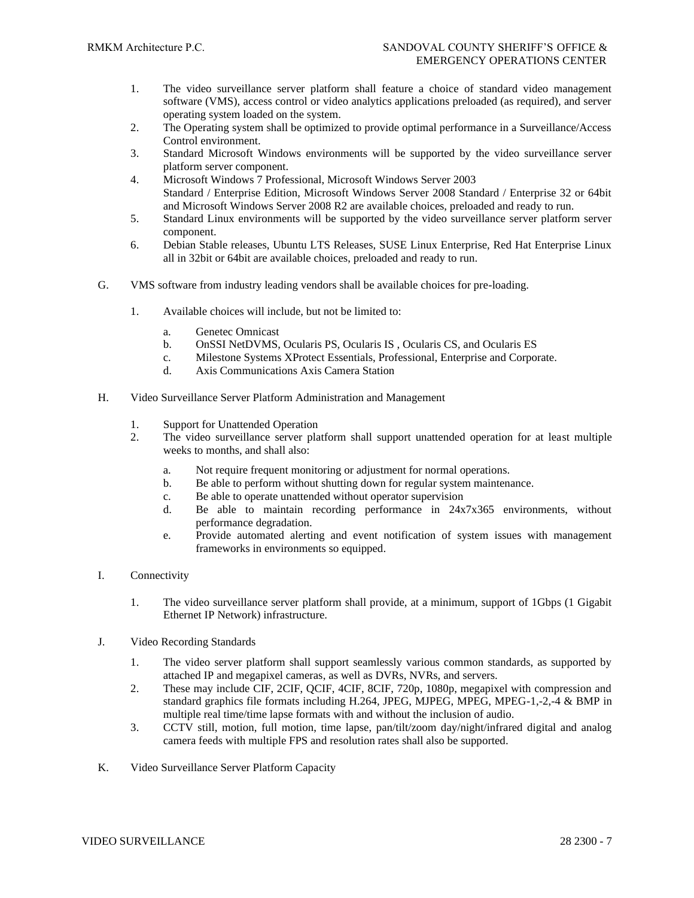- 1. The video surveillance server platform shall feature a choice of standard video management software (VMS), access control or video analytics applications preloaded (as required), and server operating system loaded on the system.
- 2. The Operating system shall be optimized to provide optimal performance in a Surveillance/Access Control environment.
- 3. Standard Microsoft Windows environments will be supported by the video surveillance server platform server component.
- 4. Microsoft Windows 7 Professional, Microsoft Windows Server 2003 Standard / Enterprise Edition, Microsoft Windows Server 2008 Standard / Enterprise 32 or 64bit and Microsoft Windows Server 2008 R2 are available choices, preloaded and ready to run.
- 5. Standard Linux environments will be supported by the video surveillance server platform server component.
- 6. Debian Stable releases, Ubuntu LTS Releases, SUSE Linux Enterprise, Red Hat Enterprise Linux all in 32bit or 64bit are available choices, preloaded and ready to run.
- G. VMS software from industry leading vendors shall be available choices for pre-loading.
	- 1. Available choices will include, but not be limited to:
		- a. Genetec Omnicast
		- b. OnSSI NetDVMS, Ocularis PS, Ocularis IS , Ocularis CS, and Ocularis ES
		- c. Milestone Systems XProtect Essentials, Professional, Enterprise and Corporate.
		- d. Axis Communications Axis Camera Station
- H. Video Surveillance Server Platform Administration and Management
	- 1. Support for Unattended Operation
	- 2. The video surveillance server platform shall support unattended operation for at least multiple weeks to months, and shall also:
		- a. Not require frequent monitoring or adjustment for normal operations.
		- b. Be able to perform without shutting down for regular system maintenance.
		- c. Be able to operate unattended without operator supervision
		- d. Be able to maintain recording performance in 24x7x365 environments, without performance degradation.
		- e. Provide automated alerting and event notification of system issues with management frameworks in environments so equipped.
- I. Connectivity
	- 1. The video surveillance server platform shall provide, at a minimum, support of 1Gbps (1 Gigabit Ethernet IP Network) infrastructure.
- J. Video Recording Standards
	- 1. The video server platform shall support seamlessly various common standards, as supported by attached IP and megapixel cameras, as well as DVRs, NVRs, and servers.
	- 2. These may include CIF, 2CIF, QCIF, 4CIF, 8CIF, 720p, 1080p, megapixel with compression and standard graphics file formats including H.264, JPEG, MJPEG, MPEG, MPEG-1,-2,-4 & BMP in multiple real time/time lapse formats with and without the inclusion of audio.
	- 3. CCTV still, motion, full motion, time lapse, pan/tilt/zoom day/night/infrared digital and analog camera feeds with multiple FPS and resolution rates shall also be supported.
- K. Video Surveillance Server Platform Capacity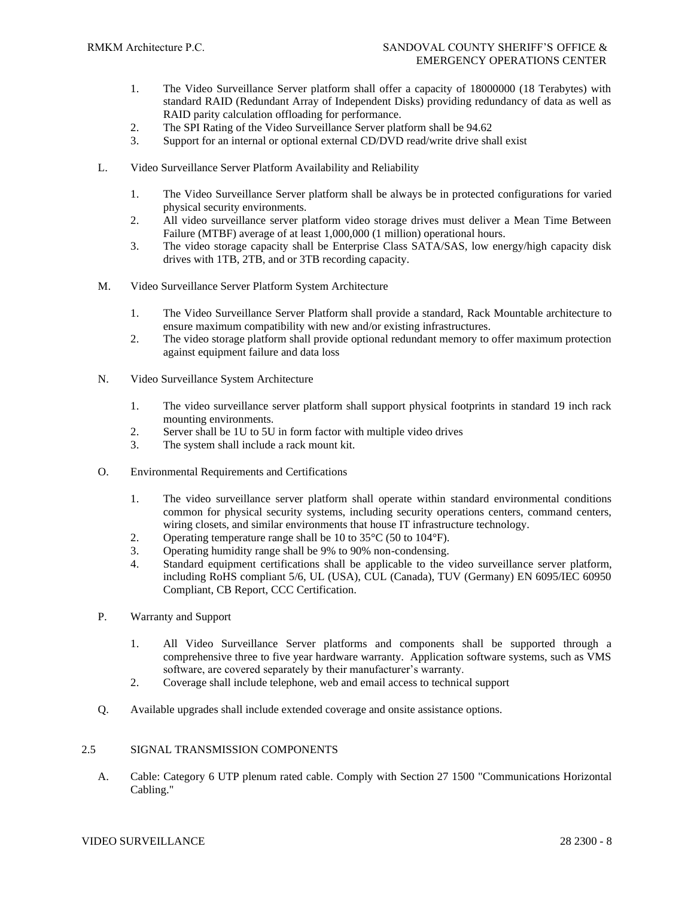- 1. The Video Surveillance Server platform shall offer a capacity of 18000000 (18 Terabytes) with standard RAID (Redundant Array of Independent Disks) providing redundancy of data as well as RAID parity calculation offloading for performance.
- 2. The SPI Rating of the Video Surveillance Server platform shall be 94.62
- 3. Support for an internal or optional external CD/DVD read/write drive shall exist
- L. Video Surveillance Server Platform Availability and Reliability
	- 1. The Video Surveillance Server platform shall be always be in protected configurations for varied physical security environments.
	- 2. All video surveillance server platform video storage drives must deliver a Mean Time Between Failure (MTBF) average of at least 1,000,000 (1 million) operational hours.
	- 3. The video storage capacity shall be Enterprise Class SATA/SAS, low energy/high capacity disk drives with 1TB, 2TB, and or 3TB recording capacity.
- M. Video Surveillance Server Platform System Architecture
	- 1. The Video Surveillance Server Platform shall provide a standard, Rack Mountable architecture to ensure maximum compatibility with new and/or existing infrastructures.
	- 2. The video storage platform shall provide optional redundant memory to offer maximum protection against equipment failure and data loss
- N. Video Surveillance System Architecture
	- 1. The video surveillance server platform shall support physical footprints in standard 19 inch rack mounting environments.
	- 2. Server shall be 1U to 5U in form factor with multiple video drives
	- 3. The system shall include a rack mount kit.
- O. Environmental Requirements and Certifications
	- 1. The video surveillance server platform shall operate within standard environmental conditions common for physical security systems, including security operations centers, command centers, wiring closets, and similar environments that house IT infrastructure technology.
	- 2. Operating temperature range shall be 10 to 35°C (50 to 104°F).
	- 3. Operating humidity range shall be 9% to 90% non-condensing.
	- 4. Standard equipment certifications shall be applicable to the video surveillance server platform, including RoHS compliant 5/6, UL (USA), CUL (Canada), TUV (Germany) EN 6095/IEC 60950 Compliant, CB Report, CCC Certification.
- P. Warranty and Support
	- 1. All Video Surveillance Server platforms and components shall be supported through a comprehensive three to five year hardware warranty. Application software systems, such as VMS software, are covered separately by their manufacturer's warranty.
	- 2. Coverage shall include telephone, web and email access to technical support
- Q. Available upgrades shall include extended coverage and onsite assistance options.

#### 2.5 SIGNAL TRANSMISSION COMPONENTS

A. Cable: Category 6 UTP plenum rated cable. Comply with Section 27 1500 "Communications Horizontal Cabling."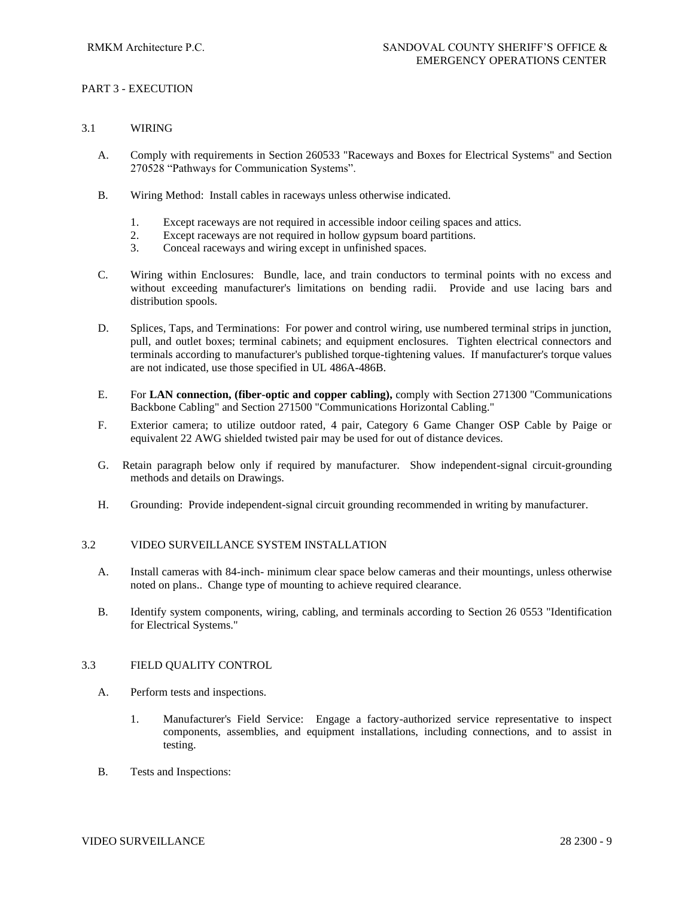# PART 3 - EXECUTION

### 3.1 WIRING

- A. Comply with requirements in Section 260533 "Raceways and Boxes for Electrical Systems" and Section 270528 "Pathways for Communication Systems".
- B. Wiring Method: Install cables in raceways unless otherwise indicated.
	- 1. Except raceways are not required in accessible indoor ceiling spaces and attics.
	- 2. Except raceways are not required in hollow gypsum board partitions.
	- 3. Conceal raceways and wiring except in unfinished spaces.
- C. Wiring within Enclosures: Bundle, lace, and train conductors to terminal points with no excess and without exceeding manufacturer's limitations on bending radii. Provide and use lacing bars and distribution spools.
- D. Splices, Taps, and Terminations: For power and control wiring, use numbered terminal strips in junction, pull, and outlet boxes; terminal cabinets; and equipment enclosures. Tighten electrical connectors and terminals according to manufacturer's published torque-tightening values. If manufacturer's torque values are not indicated, use those specified in UL 486A-486B.
- E. For **LAN connection, (fiber-optic and copper cabling),** comply with Section 271300 "Communications Backbone Cabling" and Section 271500 "Communications Horizontal Cabling."
- F. Exterior camera; to utilize outdoor rated, 4 pair, Category 6 Game Changer OSP Cable by Paige or equivalent 22 AWG shielded twisted pair may be used for out of distance devices.
- G. Retain paragraph below only if required by manufacturer. Show independent-signal circuit-grounding methods and details on Drawings.
- H. Grounding: Provide independent-signal circuit grounding recommended in writing by manufacturer.

#### 3.2 VIDEO SURVEILLANCE SYSTEM INSTALLATION

- A. Install cameras with 84-inch- minimum clear space below cameras and their mountings, unless otherwise noted on plans.. Change type of mounting to achieve required clearance.
- B. Identify system components, wiring, cabling, and terminals according to Section 26 0553 "Identification for Electrical Systems."

#### 3.3 FIELD QUALITY CONTROL

- A. Perform tests and inspections.
	- 1. Manufacturer's Field Service: Engage a factory-authorized service representative to inspect components, assemblies, and equipment installations, including connections, and to assist in testing.
- B. Tests and Inspections: